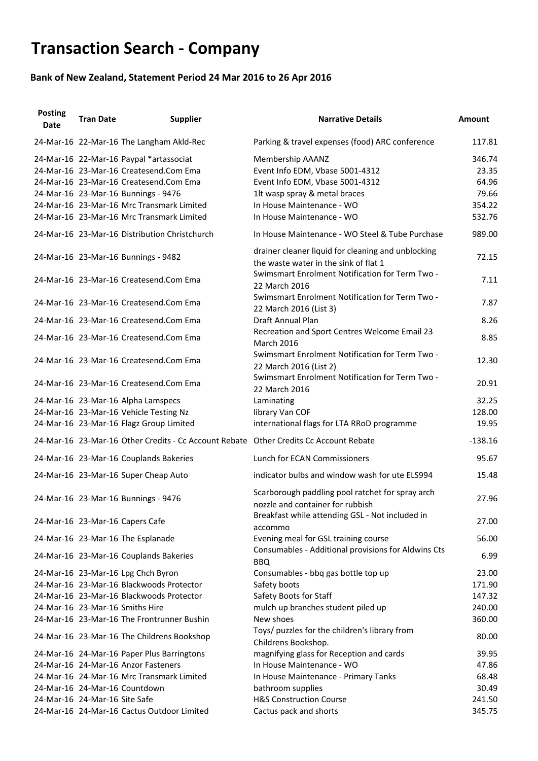## **Transaction Search - Company**

## **Bank of New Zealand, Statement Period 24 Mar 2016 to 26 Apr 2016**

| <b>Posting</b><br><b>Date</b> | <b>Tran Date</b>              | <b>Supplier</b>                                                                                                                                                                                                                                              | <b>Narrative Details</b>                                                                                                                                                                 | <b>Amount</b>                                         |
|-------------------------------|-------------------------------|--------------------------------------------------------------------------------------------------------------------------------------------------------------------------------------------------------------------------------------------------------------|------------------------------------------------------------------------------------------------------------------------------------------------------------------------------------------|-------------------------------------------------------|
|                               |                               | 24-Mar-16 22-Mar-16 The Langham Akld-Rec                                                                                                                                                                                                                     | Parking & travel expenses (food) ARC conference                                                                                                                                          | 117.81                                                |
|                               |                               | 24-Mar-16 22-Mar-16 Paypal *artassociat<br>24-Mar-16 23-Mar-16 Createsend.Com Ema<br>24-Mar-16 23-Mar-16 Createsend.Com Ema<br>24-Mar-16 23-Mar-16 Bunnings - 9476<br>24-Mar-16 23-Mar-16 Mrc Transmark Limited<br>24-Mar-16 23-Mar-16 Mrc Transmark Limited | <b>Membership AAANZ</b><br>Event Info EDM, Vbase 5001-4312<br>Event Info EDM, Vbase 5001-4312<br>1lt wasp spray & metal braces<br>In House Maintenance - WO<br>In House Maintenance - WO | 346.74<br>23.35<br>64.96<br>79.66<br>354.22<br>532.76 |
|                               |                               | 24-Mar-16 23-Mar-16 Distribution Christchurch                                                                                                                                                                                                                | In House Maintenance - WO Steel & Tube Purchase                                                                                                                                          | 989.00                                                |
|                               |                               | 24-Mar-16 23-Mar-16 Bunnings - 9482                                                                                                                                                                                                                          | drainer cleaner liquid for cleaning and unblocking<br>the waste water in the sink of flat 1                                                                                              | 72.15                                                 |
|                               |                               | 24-Mar-16 23-Mar-16 Createsend.Com Ema                                                                                                                                                                                                                       | Swimsmart Enrolment Notification for Term Two -<br>22 March 2016                                                                                                                         | 7.11                                                  |
|                               |                               | 24-Mar-16 23-Mar-16 Createsend.Com Ema                                                                                                                                                                                                                       | Swimsmart Enrolment Notification for Term Two -<br>22 March 2016 (List 3)                                                                                                                | 7.87                                                  |
|                               |                               | 24-Mar-16 23-Mar-16 Createsend.Com Ema                                                                                                                                                                                                                       | <b>Draft Annual Plan</b>                                                                                                                                                                 | 8.26                                                  |
|                               |                               | 24-Mar-16 23-Mar-16 Createsend.Com Ema                                                                                                                                                                                                                       | Recreation and Sport Centres Welcome Email 23<br><b>March 2016</b>                                                                                                                       | 8.85                                                  |
|                               |                               | 24-Mar-16 23-Mar-16 Createsend.Com Ema                                                                                                                                                                                                                       | Swimsmart Enrolment Notification for Term Two -<br>22 March 2016 (List 2)                                                                                                                | 12.30                                                 |
|                               |                               | 24-Mar-16 23-Mar-16 Createsend.Com Ema                                                                                                                                                                                                                       | Swimsmart Enrolment Notification for Term Two -<br>22 March 2016                                                                                                                         | 20.91                                                 |
|                               |                               | 24-Mar-16 23-Mar-16 Alpha Lamspecs                                                                                                                                                                                                                           | Laminating                                                                                                                                                                               | 32.25                                                 |
|                               |                               | 24-Mar-16 23-Mar-16 Vehicle Testing Nz                                                                                                                                                                                                                       | library Van COF                                                                                                                                                                          | 128.00                                                |
|                               |                               | 24-Mar-16 23-Mar-16 Flagz Group Limited                                                                                                                                                                                                                      | international flags for LTA RRoD programme                                                                                                                                               | 19.95                                                 |
|                               |                               | 24-Mar-16 23-Mar-16 Other Credits - Cc Account Rebate Other Credits Cc Account Rebate                                                                                                                                                                        |                                                                                                                                                                                          | $-138.16$                                             |
|                               |                               | 24-Mar-16 23-Mar-16 Couplands Bakeries                                                                                                                                                                                                                       | Lunch for ECAN Commissioners                                                                                                                                                             | 95.67                                                 |
|                               |                               | 24-Mar-16 23-Mar-16 Super Cheap Auto                                                                                                                                                                                                                         | indicator bulbs and window wash for ute ELS994                                                                                                                                           | 15.48                                                 |
|                               |                               | 24-Mar-16 23-Mar-16 Bunnings - 9476                                                                                                                                                                                                                          | Scarborough paddling pool ratchet for spray arch<br>nozzle and container for rubbish                                                                                                     | 27.96                                                 |
|                               |                               | 24-Mar-16 23-Mar-16 Capers Cafe                                                                                                                                                                                                                              | Breakfast while attending GSL - Not included in<br>accommo                                                                                                                               | 27.00                                                 |
|                               |                               | 24-Mar-16 23-Mar-16 The Esplanade                                                                                                                                                                                                                            | Evening meal for GSL training course                                                                                                                                                     | 56.00                                                 |
|                               |                               | 24-Mar-16 23-Mar-16 Couplands Bakeries                                                                                                                                                                                                                       | Consumables - Additional provisions for Aldwins Cts<br><b>BBQ</b>                                                                                                                        | 6.99                                                  |
|                               |                               | 24-Mar-16 23-Mar-16 Lpg Chch Byron                                                                                                                                                                                                                           | Consumables - bbq gas bottle top up                                                                                                                                                      | 23.00                                                 |
|                               |                               | 24-Mar-16 23-Mar-16 Blackwoods Protector                                                                                                                                                                                                                     | Safety boots                                                                                                                                                                             | 171.90                                                |
|                               |                               | 24-Mar-16 23-Mar-16 Blackwoods Protector                                                                                                                                                                                                                     | Safety Boots for Staff                                                                                                                                                                   | 147.32                                                |
|                               |                               | 24-Mar-16 23-Mar-16 Smiths Hire                                                                                                                                                                                                                              | mulch up branches student piled up                                                                                                                                                       | 240.00                                                |
|                               |                               | 24-Mar-16 23-Mar-16 The Frontrunner Bushin                                                                                                                                                                                                                   | New shoes                                                                                                                                                                                | 360.00                                                |
|                               |                               | 24-Mar-16 23-Mar-16 The Childrens Bookshop                                                                                                                                                                                                                   | Toys/ puzzles for the children's library from<br>Childrens Bookshop.                                                                                                                     | 80.00                                                 |
|                               |                               | 24-Mar-16 24-Mar-16 Paper Plus Barringtons                                                                                                                                                                                                                   | magnifying glass for Reception and cards                                                                                                                                                 | 39.95                                                 |
|                               |                               | 24-Mar-16 24-Mar-16 Anzor Fasteners                                                                                                                                                                                                                          | In House Maintenance - WO                                                                                                                                                                | 47.86                                                 |
|                               |                               | 24-Mar-16 24-Mar-16 Mrc Transmark Limited                                                                                                                                                                                                                    | In House Maintenance - Primary Tanks                                                                                                                                                     | 68.48                                                 |
|                               |                               | 24-Mar-16 24-Mar-16 Countdown                                                                                                                                                                                                                                | bathroom supplies                                                                                                                                                                        | 30.49                                                 |
|                               | 24-Mar-16 24-Mar-16 Site Safe |                                                                                                                                                                                                                                                              | <b>H&amp;S Construction Course</b>                                                                                                                                                       | 241.50                                                |
|                               |                               | 24-Mar-16 24-Mar-16 Cactus Outdoor Limited                                                                                                                                                                                                                   | Cactus pack and shorts                                                                                                                                                                   | 345.75                                                |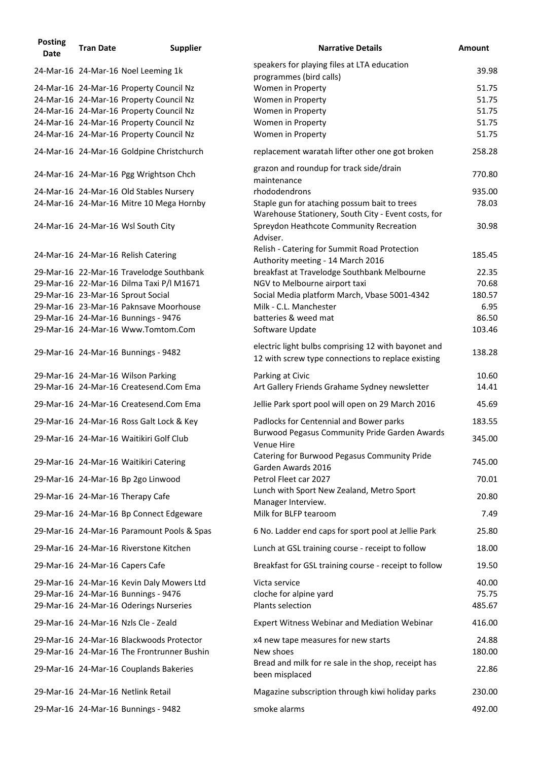| <b>Posting</b><br><b>Date</b> | <b>Tran Date</b> | <b>Supplier</b>                                                                      | <b>Narrative Details</b>                                                                                  | <b>Amount</b>  |
|-------------------------------|------------------|--------------------------------------------------------------------------------------|-----------------------------------------------------------------------------------------------------------|----------------|
|                               |                  | 24-Mar-16 24-Mar-16 Noel Leeming 1k                                                  | speakers for playing files at LTA education                                                               | 39.98          |
|                               |                  |                                                                                      | programmes (bird calls)                                                                                   |                |
|                               |                  | 24-Mar-16 24-Mar-16 Property Council Nz                                              | Women in Property                                                                                         | 51.75          |
|                               |                  | 24-Mar-16 24-Mar-16 Property Council Nz<br>24-Mar-16 24-Mar-16 Property Council Nz   | Women in Property<br>Women in Property                                                                    | 51.75<br>51.75 |
|                               |                  | 24-Mar-16 24-Mar-16 Property Council Nz                                              | Women in Property                                                                                         | 51.75          |
|                               |                  | 24-Mar-16 24-Mar-16 Property Council Nz                                              | Women in Property                                                                                         | 51.75          |
|                               |                  | 24-Mar-16 24-Mar-16 Goldpine Christchurch                                            | replacement waratah lifter other one got broken                                                           | 258.28         |
|                               |                  |                                                                                      | grazon and roundup for track side/drain                                                                   |                |
|                               |                  | 24-Mar-16 24-Mar-16 Pgg Wrightson Chch                                               | maintenance                                                                                               | 770.80         |
|                               |                  | 24-Mar-16 24-Mar-16 Old Stables Nursery                                              | rhododendrons                                                                                             | 935.00         |
|                               |                  | 24-Mar-16 24-Mar-16 Mitre 10 Mega Hornby                                             | Staple gun for ataching possum bait to trees<br>Warehouse Stationery, South City - Event costs, for       | 78.03          |
|                               |                  | 24-Mar-16 24-Mar-16 Wsl South City                                                   | Spreydon Heathcote Community Recreation<br>Adviser.                                                       | 30.98          |
|                               |                  | 24-Mar-16 24-Mar-16 Relish Catering                                                  | Relish - Catering for Summit Road Protection                                                              | 185.45         |
|                               |                  |                                                                                      | Authority meeting - 14 March 2016                                                                         |                |
|                               |                  | 29-Mar-16 22-Mar-16 Travelodge Southbank<br>29-Mar-16 22-Mar-16 Dilma Taxi P/I M1671 | breakfast at Travelodge Southbank Melbourne<br>NGV to Melbourne airport taxi                              | 22.35<br>70.68 |
|                               |                  | 29-Mar-16 23-Mar-16 Sprout Social                                                    | Social Media platform March, Vbase 5001-4342                                                              | 180.57         |
|                               |                  | 29-Mar-16 23-Mar-16 Paknsave Moorhouse                                               | Milk - C.L. Manchester                                                                                    | 6.95           |
|                               |                  | 29-Mar-16 24-Mar-16 Bunnings - 9476                                                  | batteries & weed mat                                                                                      | 86.50          |
|                               |                  | 29-Mar-16 24-Mar-16 Www.Tomtom.Com                                                   | Software Update                                                                                           | 103.46         |
|                               |                  | 29-Mar-16 24-Mar-16 Bunnings - 9482                                                  | electric light bulbs comprising 12 with bayonet and<br>12 with screw type connections to replace existing | 138.28         |
|                               |                  | 29-Mar-16 24-Mar-16 Wilson Parking                                                   | Parking at Civic                                                                                          | 10.60          |
|                               |                  | 29-Mar-16 24-Mar-16 Createsend.Com Ema                                               | Art Gallery Friends Grahame Sydney newsletter                                                             | 14.41          |
|                               |                  | 29-Mar-16 24-Mar-16 Createsend.Com Ema                                               | Jellie Park sport pool will open on 29 March 2016                                                         | 45.69          |
|                               |                  | 29-Mar-16 24-Mar-16 Ross Galt Lock & Key                                             | Padlocks for Centennial and Bower parks                                                                   | 183.55         |
|                               |                  | 29-Mar-16 24-Mar-16 Waitikiri Golf Club                                              | <b>Burwood Pegasus Community Pride Garden Awards</b><br>Venue Hire                                        | 345.00         |
|                               |                  | 29-Mar-16 24-Mar-16 Waitikiri Catering                                               | Catering for Burwood Pegasus Community Pride<br>Garden Awards 2016                                        | 745.00         |
|                               |                  | 29-Mar-16 24-Mar-16 Bp 2go Linwood                                                   | Petrol Fleet car 2027                                                                                     | 70.01          |
|                               |                  | 29-Mar-16 24-Mar-16 Therapy Cafe                                                     | Lunch with Sport New Zealand, Metro Sport<br>Manager Interview.                                           | 20.80          |
|                               |                  | 29-Mar-16 24-Mar-16 Bp Connect Edgeware                                              | Milk for BLFP tearoom                                                                                     | 7.49           |
|                               |                  | 29-Mar-16 24-Mar-16 Paramount Pools & Spas                                           | 6 No. Ladder end caps for sport pool at Jellie Park                                                       | 25.80          |
|                               |                  | 29-Mar-16 24-Mar-16 Riverstone Kitchen                                               | Lunch at GSL training course - receipt to follow                                                          | 18.00          |
|                               |                  | 29-Mar-16 24-Mar-16 Capers Cafe                                                      | Breakfast for GSL training course - receipt to follow                                                     | 19.50          |
|                               |                  | 29-Mar-16 24-Mar-16 Kevin Daly Mowers Ltd                                            | Victa service                                                                                             | 40.00          |
|                               |                  | 29-Mar-16 24-Mar-16 Bunnings - 9476                                                  | cloche for alpine yard                                                                                    | 75.75          |
|                               |                  | 29-Mar-16 24-Mar-16 Oderings Nurseries                                               | Plants selection                                                                                          | 485.67         |
|                               |                  | 29-Mar-16 24-Mar-16 Nzls Cle - Zeald                                                 | <b>Expert Witness Webinar and Mediation Webinar</b>                                                       | 416.00         |
|                               |                  | 29-Mar-16 24-Mar-16 Blackwoods Protector                                             | x4 new tape measures for new starts                                                                       | 24.88          |
|                               |                  | 29-Mar-16 24-Mar-16 The Frontrunner Bushin                                           | New shoes                                                                                                 | 180.00         |
|                               |                  | 29-Mar-16 24-Mar-16 Couplands Bakeries                                               | Bread and milk for re sale in the shop, receipt has<br>been misplaced                                     | 22.86          |
|                               |                  | 29-Mar-16 24-Mar-16 Netlink Retail                                                   | Magazine subscription through kiwi holiday parks                                                          | 230.00         |
|                               |                  | 29-Mar-16 24-Mar-16 Bunnings - 9482                                                  | smoke alarms                                                                                              | 492.00         |
|                               |                  |                                                                                      |                                                                                                           |                |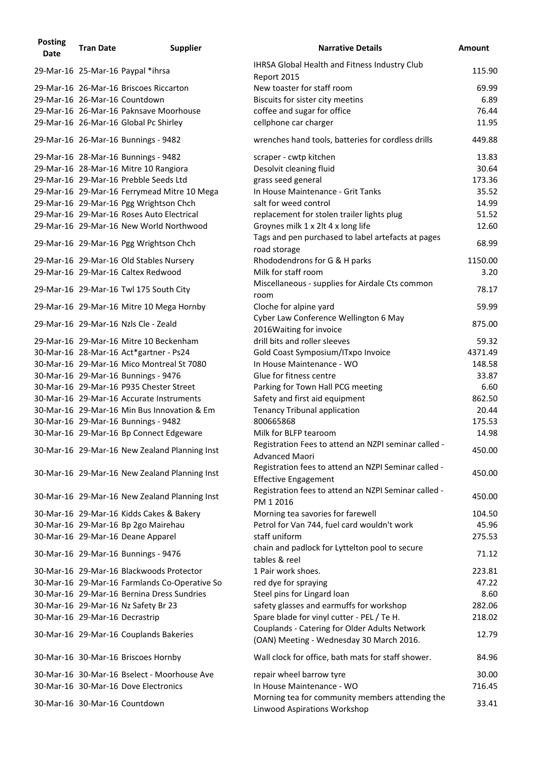| <b>Posting</b><br><b>Date</b> | <b>Tran Date</b>               | <b>Supplier</b>                               | <b>Narrative Details</b>                                                            | <b>Amount</b> |
|-------------------------------|--------------------------------|-----------------------------------------------|-------------------------------------------------------------------------------------|---------------|
|                               |                                | 29-Mar-16 25-Mar-16 Paypal *ihrsa             | IHRSA Global Health and Fitness Industry Club<br>Report 2015                        | 115.90        |
|                               |                                | 29-Mar-16 26-Mar-16 Briscoes Riccarton        | New toaster for staff room                                                          | 69.99         |
|                               |                                | 29-Mar-16 26-Mar-16 Countdown                 | Biscuits for sister city meetins                                                    | 6.89          |
|                               |                                | 29-Mar-16 26-Mar-16 Paknsave Moorhouse        | coffee and sugar for office                                                         | 76.44         |
|                               |                                | 29-Mar-16 26-Mar-16 Global Pc Shirley         | cellphone car charger                                                               | 11.95         |
|                               |                                | 29-Mar-16 26-Mar-16 Bunnings - 9482           | wrenches hand tools, batteries for cordless drills                                  | 449.88        |
|                               |                                | 29-Mar-16 28-Mar-16 Bunnings - 9482           | scraper - cwtp kitchen                                                              | 13.83         |
|                               |                                | 29-Mar-16 28-Mar-16 Mitre 10 Rangiora         | Desolvit cleaning fluid                                                             | 30.64         |
|                               |                                | 29-Mar-16 29-Mar-16 Prebble Seeds Ltd         | grass seed general                                                                  | 173.36        |
|                               |                                | 29-Mar-16 29-Mar-16 Ferrymead Mitre 10 Mega   | In House Maintenance - Grit Tanks                                                   | 35.52         |
|                               |                                | 29-Mar-16 29-Mar-16 Pgg Wrightson Chch        | salt for weed control                                                               | 14.99         |
|                               |                                | 29-Mar-16 29-Mar-16 Roses Auto Electrical     | replacement for stolen trailer lights plug                                          | 51.52         |
|                               |                                | 29-Mar-16 29-Mar-16 New World Northwood       | Groynes milk 1 x 2lt 4 x long life                                                  | 12.60         |
|                               |                                | 29-Mar-16 29-Mar-16 Pgg Wrightson Chch        | Tags and pen purchased to label artefacts at pages<br>road storage                  | 68.99         |
|                               |                                | 29-Mar-16 29-Mar-16 Old Stables Nursery       | Rhododendrons for G & H parks                                                       | 1150.00       |
|                               |                                | 29-Mar-16 29-Mar-16 Caltex Redwood            | Milk for staff room                                                                 | 3.20          |
|                               |                                | 29-Mar-16 29-Mar-16 Twl 175 South City        | Miscellaneous - supplies for Airdale Cts common<br>room                             | 78.17         |
|                               |                                | 29-Mar-16 29-Mar-16 Mitre 10 Mega Hornby      | Cloche for alpine yard                                                              | 59.99         |
|                               |                                | 29-Mar-16 29-Mar-16 Nzls Cle - Zeald          | Cyber Law Conference Wellington 6 May<br>2016 Waiting for invoice                   | 875.00        |
|                               |                                | 29-Mar-16 29-Mar-16 Mitre 10 Beckenham        | drill bits and roller sleeves                                                       | 59.32         |
|                               |                                | 30-Mar-16 28-Mar-16 Act*gartner - Ps24        | Gold Coast Symposium/ITxpo Invoice                                                  | 4371.49       |
|                               |                                | 30-Mar-16 29-Mar-16 Mico Montreal St 7080     | In House Maintenance - WO                                                           | 148.58        |
|                               |                                | 30-Mar-16 29-Mar-16 Bunnings - 9476           | Glue for fitness centre                                                             | 33.87         |
|                               |                                | 30-Mar-16 29-Mar-16 P935 Chester Street       | Parking for Town Hall PCG meeting                                                   | 6.60          |
|                               |                                | 30-Mar-16 29-Mar-16 Accurate Instruments      | Safety and first aid equipment                                                      | 862.50        |
|                               |                                | 30-Mar-16 29-Mar-16 Min Bus Innovation & Em   | <b>Tenancy Tribunal application</b>                                                 | 20.44         |
|                               |                                | 30-Mar-16 29-Mar-16 Bunnings - 9482           | 800665868                                                                           | 175.53        |
|                               |                                | 30-Mar-16 29-Mar-16 Bp Connect Edgeware       | Milk for BLFP tearoom                                                               | 14.98         |
|                               |                                | 30-Mar-16 29-Mar-16 New Zealand Planning Inst | Registration Fees to attend an NZPI seminar called -<br><b>Advanced Maori</b>       | 450.00        |
|                               |                                | 30-Mar-16 29-Mar-16 New Zealand Planning Inst | Registration fees to attend an NZPI Seminar called -<br><b>Effective Engagement</b> | 450.00        |
|                               |                                | 30-Mar-16 29-Mar-16 New Zealand Planning Inst | Registration fees to attend an NZPI Seminar called -<br>PM 1 2016                   | 450.00        |
|                               |                                | 30-Mar-16 29-Mar-16 Kidds Cakes & Bakery      | Morning tea savories for farewell                                                   | 104.50        |
|                               |                                | 30-Mar-16 29-Mar-16 Bp 2go Mairehau           | Petrol for Van 744, fuel card wouldn't work                                         | 45.96         |
|                               |                                | 30-Mar-16 29-Mar-16 Deane Apparel             | staff uniform                                                                       | 275.53        |
|                               |                                | 30-Mar-16 29-Mar-16 Bunnings - 9476           | chain and padlock for Lyttelton pool to secure<br>tables & reel                     | 71.12         |
|                               |                                | 30-Mar-16 29-Mar-16 Blackwoods Protector      | 1 Pair work shoes.                                                                  | 223.81        |
|                               |                                | 30-Mar-16 29-Mar-16 Farmlands Co-Operative So | red dye for spraying                                                                | 47.22         |
|                               |                                | 30-Mar-16 29-Mar-16 Bernina Dress Sundries    | Steel pins for Lingard loan                                                         | 8.60          |
|                               |                                | 30-Mar-16 29-Mar-16 Nz Safety Br 23           | safety glasses and earmuffs for workshop                                            | 282.06        |
|                               | 30-Mar-16 29-Mar-16 Decrastrip |                                               | Spare blade for vinyl cutter - PEL / Te H.                                          | 218.02        |
|                               |                                |                                               | Couplands - Catering for Older Adults Network                                       |               |
|                               |                                | 30-Mar-16 29-Mar-16 Couplands Bakeries        | (OAN) Meeting - Wednesday 30 March 2016.                                            | 12.79         |
|                               |                                | 30-Mar-16 30-Mar-16 Briscoes Hornby           | Wall clock for office, bath mats for staff shower.                                  | 84.96         |
|                               |                                | 30-Mar-16 30-Mar-16 Bselect - Moorhouse Ave   | repair wheel barrow tyre                                                            | 30.00         |
|                               |                                | 30-Mar-16 30-Mar-16 Dove Electronics          | In House Maintenance - WO                                                           | 716.45        |
|                               |                                | 30-Mar-16 30-Mar-16 Countdown                 | Morning tea for community members attending the<br>Linwood Aspirations Workshop     | 33.41         |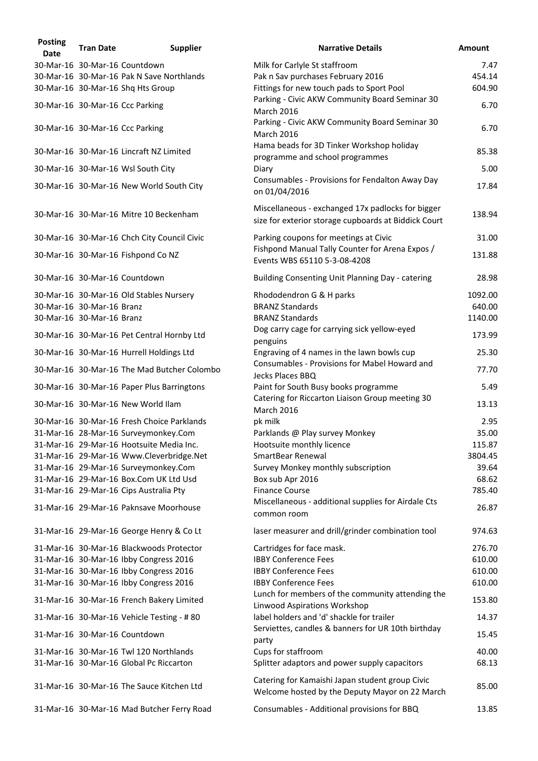| <b>Posting</b><br><b>Date</b> | <b>Tran Date</b>          | <b>Supplier</b>                             | <b>Narrative Details</b>                                                                                  | <b>Amount</b> |
|-------------------------------|---------------------------|---------------------------------------------|-----------------------------------------------------------------------------------------------------------|---------------|
|                               |                           | 30-Mar-16 30-Mar-16 Countdown               | Milk for Carlyle St staffroom                                                                             | 7.47          |
|                               |                           | 30-Mar-16 30-Mar-16 Pak N Save Northlands   | Pak n Sav purchases February 2016                                                                         | 454.14        |
|                               |                           | 30-Mar-16 30-Mar-16 Shq Hts Group           | Fittings for new touch pads to Sport Pool                                                                 | 604.90        |
|                               |                           | 30-Mar-16 30-Mar-16 Ccc Parking             | Parking - Civic AKW Community Board Seminar 30<br><b>March 2016</b>                                       | 6.70          |
|                               |                           | 30-Mar-16 30-Mar-16 Ccc Parking             | Parking - Civic AKW Community Board Seminar 30<br><b>March 2016</b>                                       | 6.70          |
|                               |                           | 30-Mar-16 30-Mar-16 Lincraft NZ Limited     | Hama beads for 3D Tinker Workshop holiday<br>programme and school programmes                              | 85.38         |
|                               |                           | 30-Mar-16 30-Mar-16 Wsl South City          | Diary                                                                                                     | 5.00          |
|                               |                           | 30-Mar-16 30-Mar-16 New World South City    | Consumables - Provisions for Fendalton Away Day<br>on 01/04/2016                                          | 17.84         |
|                               |                           | 30-Mar-16 30-Mar-16 Mitre 10 Beckenham      | Miscellaneous - exchanged 17x padlocks for bigger<br>size for exterior storage cupboards at Biddick Court | 138.94        |
|                               |                           | 30-Mar-16 30-Mar-16 Chch City Council Civic | Parking coupons for meetings at Civic                                                                     | 31.00         |
|                               |                           | 30-Mar-16 30-Mar-16 Fishpond Co NZ          | Fishpond Manual Tally Counter for Arena Expos /<br>Events WBS 65110 5-3-08-4208                           | 131.88        |
|                               |                           | 30-Mar-16 30-Mar-16 Countdown               | Building Consenting Unit Planning Day - catering                                                          | 28.98         |
|                               |                           | 30-Mar-16 30-Mar-16 Old Stables Nursery     | Rhododendron G & H parks                                                                                  | 1092.00       |
|                               | 30-Mar-16 30-Mar-16 Branz |                                             | <b>BRANZ Standards</b>                                                                                    | 640.00        |
|                               | 30-Mar-16 30-Mar-16 Branz |                                             | <b>BRANZ Standards</b>                                                                                    | 1140.00       |
|                               |                           | 30-Mar-16 30-Mar-16 Pet Central Hornby Ltd  | Dog carry cage for carrying sick yellow-eyed<br>penguins                                                  | 173.99        |
|                               |                           | 30-Mar-16 30-Mar-16 Hurrell Holdings Ltd    | Engraving of 4 names in the lawn bowls cup                                                                | 25.30         |
|                               |                           | 30-Mar-16 30-Mar-16 The Mad Butcher Colombo | Consumables - Provisions for Mabel Howard and<br>Jecks Places BBQ                                         | 77.70         |
|                               |                           | 30-Mar-16 30-Mar-16 Paper Plus Barringtons  | Paint for South Busy books programme                                                                      | 5.49          |
|                               |                           | 30-Mar-16 30-Mar-16 New World Ilam          | Catering for Riccarton Liaison Group meeting 30<br><b>March 2016</b>                                      | 13.13         |
|                               |                           | 30-Mar-16 30-Mar-16 Fresh Choice Parklands  | pk milk                                                                                                   | 2.95          |
|                               |                           | 31-Mar-16 28-Mar-16 Surveymonkey.Com        | Parklands @ Play survey Monkey                                                                            | 35.00         |
|                               |                           | 31-Mar-16 29-Mar-16 Hootsuite Media Inc.    | Hootsuite monthly licence                                                                                 | 115.87        |
|                               |                           | 31-Mar-16 29-Mar-16 Www.Cleverbridge.Net    | <b>SmartBear Renewal</b>                                                                                  | 3804.45       |
|                               |                           | 31-Mar-16 29-Mar-16 Surveymonkey.Com        | Survey Monkey monthly subscription                                                                        | 39.64         |
|                               |                           | 31-Mar-16 29-Mar-16 Box.Com UK Ltd Usd      | Box sub Apr 2016                                                                                          | 68.62         |
|                               |                           |                                             |                                                                                                           |               |
|                               |                           | 31-Mar-16 29-Mar-16 Cips Australia Pty      | <b>Finance Course</b>                                                                                     | 785.40        |
|                               |                           | 31-Mar-16 29-Mar-16 Paknsave Moorhouse      | Miscellaneous - additional supplies for Airdale Cts<br>common room                                        | 26.87         |
|                               |                           | 31-Mar-16 29-Mar-16 George Henry & Co Lt    | laser measurer and drill/grinder combination tool                                                         | 974.63        |
|                               |                           | 31-Mar-16 30-Mar-16 Blackwoods Protector    | Cartridges for face mask.                                                                                 | 276.70        |
|                               |                           | 31-Mar-16 30-Mar-16 Ibby Congress 2016      | <b>IBBY Conference Fees</b>                                                                               | 610.00        |
|                               |                           | 31-Mar-16 30-Mar-16 Ibby Congress 2016      | <b>IBBY Conference Fees</b>                                                                               | 610.00        |
|                               |                           | 31-Mar-16 30-Mar-16 Ibby Congress 2016      | <b>IBBY Conference Fees</b>                                                                               | 610.00        |
|                               |                           | 31-Mar-16 30-Mar-16 French Bakery Limited   | Lunch for members of the community attending the                                                          | 153.80        |
|                               |                           | 31-Mar-16 30-Mar-16 Vehicle Testing - #80   | Linwood Aspirations Workshop<br>label holders and 'd' shackle for trailer                                 | 14.37         |
|                               |                           | 31-Mar-16 30-Mar-16 Countdown               | Serviettes, candles & banners for UR 10th birthday                                                        | 15.45         |
|                               |                           |                                             | party                                                                                                     |               |
|                               |                           | 31-Mar-16 30-Mar-16 Twl 120 Northlands      | Cups for staffroom                                                                                        | 40.00         |
|                               |                           | 31-Mar-16 30-Mar-16 Global Pc Riccarton     | Splitter adaptors and power supply capacitors                                                             | 68.13         |
|                               |                           | 31-Mar-16 30-Mar-16 The Sauce Kitchen Ltd   | Catering for Kamaishi Japan student group Civic<br>Welcome hosted by the Deputy Mayor on 22 March         | 85.00         |
|                               |                           | 31-Mar-16 30-Mar-16 Mad Butcher Ferry Road  | Consumables - Additional provisions for BBQ                                                               | 13.85         |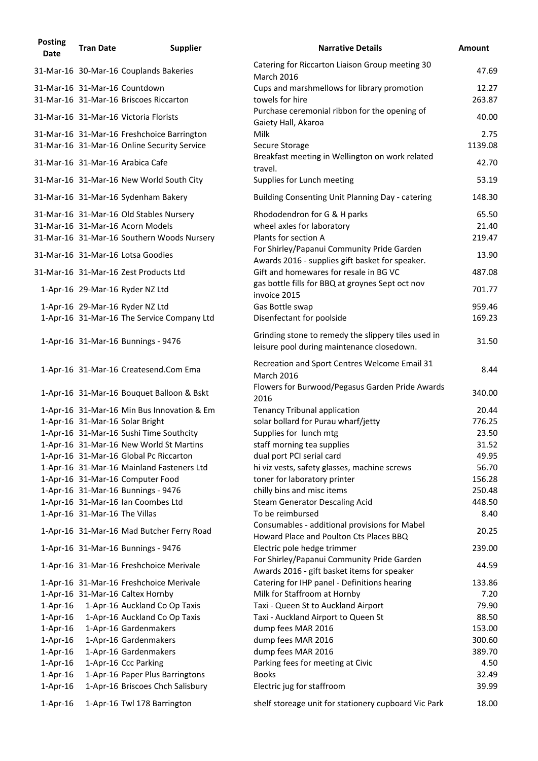| <b>Posting</b><br><b>Date</b> | <b>Tran Date</b>              | <b>Supplier</b>                                                                           | <b>Narrative Details</b>                                                                          | <b>Amount</b>   |
|-------------------------------|-------------------------------|-------------------------------------------------------------------------------------------|---------------------------------------------------------------------------------------------------|-----------------|
|                               |                               | 31-Mar-16 30-Mar-16 Couplands Bakeries                                                    | Catering for Riccarton Liaison Group meeting 30<br><b>March 2016</b>                              | 47.69           |
|                               |                               | 31-Mar-16 31-Mar-16 Countdown                                                             | Cups and marshmellows for library promotion                                                       | 12.27           |
|                               |                               | 31-Mar-16 31-Mar-16 Briscoes Riccarton                                                    | towels for hire<br>Purchase ceremonial ribbon for the opening of                                  | 263.87          |
|                               |                               | 31-Mar-16 31-Mar-16 Victoria Florists                                                     | Gaiety Hall, Akaroa                                                                               | 40.00           |
|                               |                               | 31-Mar-16 31-Mar-16 Freshchoice Barrington<br>31-Mar-16 31-Mar-16 Online Security Service | <b>Milk</b><br>Secure Storage                                                                     | 2.75<br>1139.08 |
|                               |                               | 31-Mar-16 31-Mar-16 Arabica Cafe                                                          | Breakfast meeting in Wellington on work related<br>travel.                                        | 42.70           |
|                               |                               | 31-Mar-16 31-Mar-16 New World South City                                                  | Supplies for Lunch meeting                                                                        | 53.19           |
|                               |                               | 31-Mar-16 31-Mar-16 Sydenham Bakery                                                       | Building Consenting Unit Planning Day - catering                                                  | 148.30          |
|                               |                               | 31-Mar-16 31-Mar-16 Old Stables Nursery                                                   | Rhododendron for G & H parks                                                                      | 65.50           |
|                               |                               | 31-Mar-16 31-Mar-16 Acorn Models                                                          | wheel axles for laboratory                                                                        | 21.40           |
|                               |                               | 31-Mar-16 31-Mar-16 Southern Woods Nursery                                                | Plants for section A                                                                              | 219.47          |
|                               |                               | 31-Mar-16 31-Mar-16 Lotsa Goodies                                                         | For Shirley/Papanui Community Pride Garden                                                        | 13.90           |
|                               |                               | 31-Mar-16 31-Mar-16 Zest Products Ltd                                                     | Awards 2016 - supplies gift basket for speaker.<br>Gift and homewares for resale in BG VC         | 487.08          |
|                               |                               | 1-Apr-16 29-Mar-16 Ryder NZ Ltd                                                           | gas bottle fills for BBQ at groynes Sept oct nov<br>invoice 2015                                  | 701.77          |
|                               |                               | 1-Apr-16 29-Mar-16 Ryder NZ Ltd                                                           | Gas Bottle swap                                                                                   | 959.46          |
|                               |                               | 1-Apr-16 31-Mar-16 The Service Company Ltd                                                | Disenfectant for poolside                                                                         | 169.23          |
|                               |                               | 1-Apr-16 31-Mar-16 Bunnings - 9476                                                        | Grinding stone to remedy the slippery tiles used in<br>leisure pool during maintenance closedown. | 31.50           |
|                               |                               | 1-Apr-16 31-Mar-16 Createsend.Com Ema                                                     | Recreation and Sport Centres Welcome Email 31<br><b>March 2016</b>                                | 8.44            |
|                               |                               | 1-Apr-16 31-Mar-16 Bouquet Balloon & Bskt                                                 | Flowers for Burwood/Pegasus Garden Pride Awards<br>2016                                           | 340.00          |
|                               |                               | 1-Apr-16 31-Mar-16 Min Bus Innovation & Em                                                | <b>Tenancy Tribunal application</b>                                                               | 20.44           |
|                               |                               | 1-Apr-16 31-Mar-16 Solar Bright                                                           | solar bollard for Purau wharf/jetty                                                               | 776.25          |
|                               |                               | 1-Apr-16 31-Mar-16 Sushi Time Southcity                                                   | Supplies for lunch mtg                                                                            | 23.50           |
|                               |                               | 1-Apr-16 31-Mar-16 New World St Martins                                                   | staff morning tea supplies                                                                        | 31.52           |
|                               |                               | 1-Apr-16 31-Mar-16 Global Pc Riccarton                                                    | dual port PCI serial card                                                                         | 49.95           |
|                               |                               | 1-Apr-16 31-Mar-16 Mainland Fasteners Ltd                                                 | hi viz vests, safety glasses, machine screws                                                      | 56.70           |
|                               |                               | 1-Apr-16 31-Mar-16 Computer Food                                                          | toner for laboratory printer                                                                      | 156.28          |
|                               |                               | 1-Apr-16 31-Mar-16 Bunnings - 9476                                                        | chilly bins and misc items                                                                        | 250.48          |
|                               |                               | 1-Apr-16 31-Mar-16 Ian Coombes Ltd                                                        | <b>Steam Generator Descaling Acid</b>                                                             | 448.50          |
|                               | 1-Apr-16 31-Mar-16 The Villas | 1-Apr-16 31-Mar-16 Mad Butcher Ferry Road                                                 | To be reimbursed<br>Consumables - additional provisions for Mabel                                 | 8.40<br>20.25   |
|                               |                               | 1-Apr-16 31-Mar-16 Bunnings - 9476                                                        | Howard Place and Poulton Cts Places BBQ<br>Electric pole hedge trimmer                            | 239.00          |
|                               |                               | 1-Apr-16 31-Mar-16 Freshchoice Merivale                                                   | For Shirley/Papanui Community Pride Garden                                                        | 44.59           |
|                               |                               |                                                                                           | Awards 2016 - gift basket items for speaker                                                       | 133.86          |
|                               |                               | 1-Apr-16 31-Mar-16 Freshchoice Merivale<br>1-Apr-16 31-Mar-16 Caltex Hornby               | Catering for IHP panel - Definitions hearing<br>Milk for Staffroom at Hornby                      | 7.20            |
| 1-Apr-16                      |                               | 1-Apr-16 Auckland Co Op Taxis                                                             | Taxi - Queen St to Auckland Airport                                                               | 79.90           |
| $1$ -Apr-16                   |                               | 1-Apr-16 Auckland Co Op Taxis                                                             | Taxi - Auckland Airport to Queen St                                                               | 88.50           |
| $1$ -Apr-16                   |                               | 1-Apr-16 Gardenmakers                                                                     | dump fees MAR 2016                                                                                | 153.00          |
| $1$ -Apr-16                   |                               | 1-Apr-16 Gardenmakers                                                                     | dump fees MAR 2016                                                                                | 300.60          |
| $1$ -Apr-16                   |                               | 1-Apr-16 Gardenmakers                                                                     | dump fees MAR 2016                                                                                | 389.70          |
| $1$ -Apr-16                   |                               | 1-Apr-16 Ccc Parking                                                                      | Parking fees for meeting at Civic                                                                 | 4.50            |
| $1-Apr-16$                    |                               | 1-Apr-16 Paper Plus Barringtons                                                           | <b>Books</b>                                                                                      | 32.49           |
| $1$ -Apr-16                   |                               | 1-Apr-16 Briscoes Chch Salisbury                                                          | Electric jug for staffroom                                                                        | 39.99           |
| $1$ -Apr-16                   |                               | 1-Apr-16 Twl 178 Barrington                                                               | shelf storeage unit for stationery cupboard Vic Park                                              | 18.00           |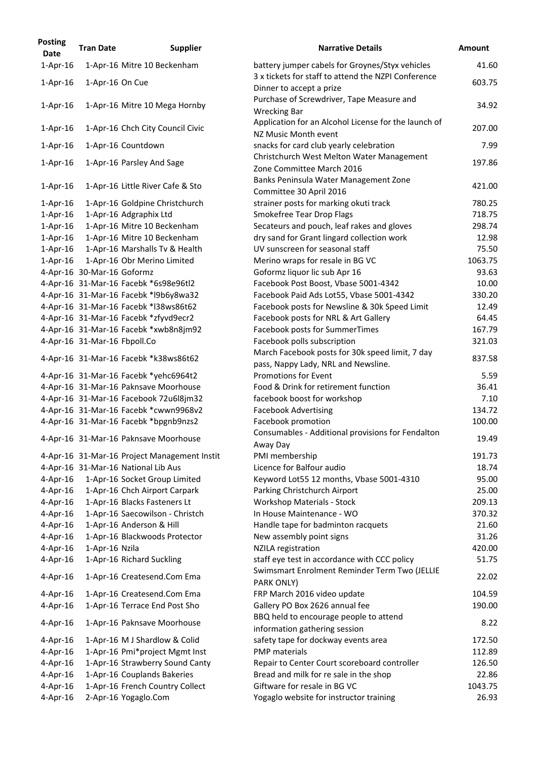| <b>Posting</b><br><b>Date</b> | <b>Tran Date</b>             | <b>Supplier</b>                              | <b>Narrative Details</b>                                                                        |
|-------------------------------|------------------------------|----------------------------------------------|-------------------------------------------------------------------------------------------------|
| $1$ -Apr-16                   |                              | 1-Apr-16 Mitre 10 Beckenham                  | battery jumper cabels for Groynes/Styx vehio<br>3 x tickets for staff to attend the NZPI Confer |
| $1-Apr-16$                    | 1-Apr-16 On Cue              |                                              | Dinner to accept a prize                                                                        |
| $1-Apr-16$                    |                              | 1-Apr-16 Mitre 10 Mega Hornby                | Purchase of Screwdriver, Tape Measure and<br><b>Wrecking Bar</b>                                |
| $1$ -Apr-16                   |                              | 1-Apr-16 Chch City Council Civic             | Application for an Alcohol License for the lau<br>NZ Music Month event                          |
| $1-Apr-16$                    |                              | 1-Apr-16 Countdown                           | snacks for card club yearly celebration                                                         |
| $1-Apr-16$                    |                              | 1-Apr-16 Parsley And Sage                    | Christchurch West Melton Water Manageme<br>Zone Committee March 2016                            |
| $1-Apr-16$                    |                              | 1-Apr-16 Little River Cafe & Sto             | Banks Peninsula Water Management Zone<br>Committee 30 April 2016                                |
| $1$ -Apr-16                   |                              | 1-Apr-16 Goldpine Christchurch               | strainer posts for marking okuti track                                                          |
| $1$ -Apr-16                   |                              | 1-Apr-16 Adgraphix Ltd                       | <b>Smokefree Tear Drop Flags</b>                                                                |
| $1$ -Apr-16                   |                              | 1-Apr-16 Mitre 10 Beckenham                  | Secateurs and pouch, leaf rakes and gloves                                                      |
| $1$ -Apr-16                   |                              | 1-Apr-16 Mitre 10 Beckenham                  | dry sand for Grant lingard collection work                                                      |
| $1$ -Apr-16                   |                              | 1-Apr-16 Marshalls Tv & Health               | UV sunscreen for seasonal staff                                                                 |
| $1$ -Apr-16                   |                              | 1-Apr-16 Obr Merino Limited                  | Merino wraps for resale in BG VC                                                                |
|                               | 4-Apr-16 30-Mar-16 Goformz   |                                              | Goformz liquor lic sub Apr 16                                                                   |
|                               |                              | 4-Apr-16 31-Mar-16 Facebk *6s98e96tl2        | Facebook Post Boost, Vbase 5001-4342                                                            |
|                               |                              | 4-Apr-16 31-Mar-16 Facebk *l9b6y8wa32        | Facebook Paid Ads Lot55, Vbase 5001-4342                                                        |
|                               |                              | 4-Apr-16 31-Mar-16 Facebk *I38ws86t62        | Facebook posts for Newsline & 30k Speed Lir                                                     |
|                               |                              | 4-Apr-16 31-Mar-16 Facebk *zfyvd9ecr2        | Facebook posts for NRL & Art Gallery                                                            |
|                               |                              | 4-Apr-16 31-Mar-16 Facebk *xwb8n8jm92        | Facebook posts for SummerTimes                                                                  |
|                               | 4-Apr-16 31-Mar-16 Fbpoll.Co |                                              | Facebook polls subscription                                                                     |
|                               |                              | 4-Apr-16 31-Mar-16 Facebk *k38ws86t62        | March Facebook posts for 30k speed limit, 7<br>pass, Nappy Lady, NRL and Newsline.              |
|                               |                              | 4-Apr-16 31-Mar-16 Facebk *yehc6964t2        | <b>Promotions for Event</b>                                                                     |
|                               |                              | 4-Apr-16 31-Mar-16 Paknsave Moorhouse        | Food & Drink for retirement function                                                            |
|                               |                              | 4-Apr-16 31-Mar-16 Facebook 72u6l8jm32       | facebook boost for workshop                                                                     |
|                               |                              | 4-Apr-16 31-Mar-16 Facebk *cwwn9968v2        | <b>Facebook Advertising</b>                                                                     |
|                               |                              | 4-Apr-16 31-Mar-16 Facebk *bpgnb9nzs2        | Facebook promotion                                                                              |
|                               |                              | 4-Apr-16 31-Mar-16 Paknsave Moorhouse        | Consumables - Additional provisions for Feno<br>Away Day                                        |
|                               |                              | 4-Apr-16 31-Mar-16 Project Management Instit | PMI membership                                                                                  |
|                               |                              | 4-Apr-16 31-Mar-16 National Lib Aus          | Licence for Balfour audio                                                                       |
| $4$ -Apr-16                   |                              | 1-Apr-16 Socket Group Limited                | Keyword Lot55 12 months, Vbase 5001-4310                                                        |
| $4$ -Apr-16                   |                              | 1-Apr-16 Chch Airport Carpark                | Parking Christchurch Airport                                                                    |
| $4$ -Apr-16                   |                              | 1-Apr-16 Blacks Fasteners Lt                 | <b>Workshop Materials - Stock</b>                                                               |
| $4$ -Apr-16                   |                              | 1-Apr-16 Saecowilson - Christch              | In House Maintenance - WO                                                                       |
| $4$ -Apr-16                   |                              | 1-Apr-16 Anderson & Hill                     | Handle tape for badminton racquets                                                              |
| $4$ -Apr-16                   |                              | 1-Apr-16 Blackwoods Protector                | New assembly point signs                                                                        |
| $4$ -Apr-16                   | 1-Apr-16 Nzila               |                                              | <b>NZILA</b> registration                                                                       |
| $4$ -Apr-16                   |                              | 1-Apr-16 Richard Suckling                    | staff eye test in accordance with CCC policy<br>Swimsmart Enrolment Reminder Term Two (         |
| $4$ -Apr-16                   |                              | 1-Apr-16 Createsend.Com Ema                  | PARK ONLY)                                                                                      |
| $4$ -Apr-16                   |                              | 1-Apr-16 Createsend.Com Ema                  | FRP March 2016 video update                                                                     |
| $4$ -Apr-16                   |                              | 1-Apr-16 Terrace End Post Sho                | Gallery PO Box 2626 annual fee                                                                  |
| $4$ -Apr-16                   |                              | 1-Apr-16 Paknsave Moorhouse                  | BBQ held to encourage people to attend<br>information gathering session                         |
| $4$ -Apr-16                   |                              | 1-Apr-16 M J Shardlow & Colid                | safety tape for dockway events area                                                             |
| $4$ -Apr-16                   |                              | 1-Apr-16 Pmi*project Mgmt Inst               | <b>PMP</b> materials                                                                            |
| $4$ -Apr-16                   |                              | 1-Apr-16 Strawberry Sound Canty              | Repair to Center Court scoreboard controller                                                    |
| $4$ -Apr-16                   |                              | 1-Apr-16 Couplands Bakeries                  | Bread and milk for re sale in the shop                                                          |
| $4$ -Apr-16                   |                              | 1-Apr-16 French Country Collect              | Giftware for resale in BG VC                                                                    |
| $4$ -Apr-16                   |                              | 2-Apr-16 Yogaglo.Com                         | Yogaglo website for instructor training                                                         |

| osting<br><b>Date</b> | <b>Tran Date</b>             | <b>Supplier</b>                                              | <b>Narrative Details</b>                                                                      | <b>Amount</b>  |
|-----------------------|------------------------------|--------------------------------------------------------------|-----------------------------------------------------------------------------------------------|----------------|
| $1-Apr-16$            |                              | 1-Apr-16 Mitre 10 Beckenham                                  | battery jumper cabels for Groynes/Styx vehicles                                               | 41.60          |
| $1$ -Apr-16           | 1-Apr-16 On Cue              |                                                              | 3 x tickets for staff to attend the NZPI Conference<br>Dinner to accept a prize               | 603.75         |
| 1-Apr-16              |                              | 1-Apr-16 Mitre 10 Mega Hornby                                | Purchase of Screwdriver, Tape Measure and<br><b>Wrecking Bar</b>                              | 34.92          |
| $1$ -Apr-16           |                              | 1-Apr-16 Chch City Council Civic                             | Application for an Alcohol License for the launch of<br>NZ Music Month event                  | 207.00         |
| 1-Apr-16              |                              | 1-Apr-16 Countdown                                           | snacks for card club yearly celebration                                                       | 7.99           |
| 1-Apr-16              |                              | 1-Apr-16 Parsley And Sage                                    | Christchurch West Melton Water Management<br>Zone Committee March 2016                        | 197.86         |
| 1-Apr-16              |                              | 1-Apr-16 Little River Cafe & Sto                             | Banks Peninsula Water Management Zone<br>Committee 30 April 2016                              | 421.00         |
| 1-Apr-16              |                              | 1-Apr-16 Goldpine Christchurch                               | strainer posts for marking okuti track                                                        | 780.25         |
| 1-Apr-16              |                              | 1-Apr-16 Adgraphix Ltd                                       | Smokefree Tear Drop Flags                                                                     | 718.75         |
| 1-Apr-16              |                              | 1-Apr-16 Mitre 10 Beckenham                                  | Secateurs and pouch, leaf rakes and gloves                                                    | 298.74         |
| 1-Apr-16              |                              | 1-Apr-16 Mitre 10 Beckenham                                  | dry sand for Grant lingard collection work                                                    | 12.98          |
| $1-Apr-16$            |                              | 1-Apr-16 Marshalls Tv & Health                               | UV sunscreen for seasonal staff                                                               | 75.50          |
| $1-Apr-16$            |                              | 1-Apr-16 Obr Merino Limited                                  | Merino wraps for resale in BG VC                                                              | 1063.75        |
|                       | 4-Apr-16 30-Mar-16 Goformz   |                                                              | Goformz liquor lic sub Apr 16                                                                 | 93.63          |
|                       |                              |                                                              |                                                                                               |                |
|                       |                              | 4-Apr-16 31-Mar-16 Facebk *6s98e96tl2                        | Facebook Post Boost, Vbase 5001-4342                                                          | 10.00          |
|                       |                              | 4-Apr-16 31-Mar-16 Facebk *l9b6y8wa32                        | Facebook Paid Ads Lot55, Vbase 5001-4342                                                      | 330.20         |
|                       |                              | 4-Apr-16 31-Mar-16 Facebk *l38ws86t62                        | Facebook posts for Newsline & 30k Speed Limit                                                 | 12.49          |
|                       |                              | 4-Apr-16 31-Mar-16 Facebk *zfyvd9ecr2                        | Facebook posts for NRL & Art Gallery                                                          | 64.45          |
|                       |                              | 4-Apr-16 31-Mar-16 Facebk *xwb8n8jm92                        | Facebook posts for SummerTimes                                                                | 167.79         |
|                       | 4-Apr-16 31-Mar-16 Fbpoll.Co |                                                              | Facebook polls subscription                                                                   | 321.03         |
|                       |                              | 4-Apr-16 31-Mar-16 Facebk *k38ws86t62                        | March Facebook posts for 30k speed limit, 7 day<br>pass, Nappy Lady, NRL and Newsline.        | 837.58         |
|                       |                              | 4-Apr-16 31-Mar-16 Facebk *yehc6964t2                        | Promotions for Event                                                                          | 5.59           |
|                       |                              | 4-Apr-16 31-Mar-16 Paknsave Moorhouse                        | Food & Drink for retirement function                                                          | 36.41          |
|                       |                              | 4-Apr-16 31-Mar-16 Facebook 72u6l8jm32                       | facebook boost for workshop                                                                   | 7.10           |
|                       |                              | 4-Apr-16 31-Mar-16 Facebk *cwwn9968v2                        | <b>Facebook Advertising</b>                                                                   | 134.72         |
|                       |                              | 4-Apr-16 31-Mar-16 Facebk *bpgnb9nzs2                        | Facebook promotion                                                                            | 100.00         |
|                       |                              | 4-Apr-16 31-Mar-16 Paknsave Moorhouse                        | Consumables - Additional provisions for Fendalton                                             | 19.49          |
|                       |                              |                                                              | Away Day                                                                                      |                |
|                       |                              | 4-Apr-16 31-Mar-16 Project Management Instit                 | PMI membership                                                                                | 191.73         |
|                       |                              | 4-Apr-16 31-Mar-16 National Lib Aus                          | Licence for Balfour audio                                                                     | 18.74          |
| 4-Apr-16              |                              | 1-Apr-16 Socket Group Limited                                | Keyword Lot55 12 months, Vbase 5001-4310                                                      | 95.00          |
| 4-Apr-16              |                              | 1-Apr-16 Chch Airport Carpark                                | Parking Christchurch Airport                                                                  | 25.00          |
| 4-Apr-16              |                              | 1-Apr-16 Blacks Fasteners Lt                                 | <b>Workshop Materials - Stock</b>                                                             | 209.13         |
| 4-Apr-16              |                              | 1-Apr-16 Saecowilson - Christch                              | In House Maintenance - WO                                                                     | 370.32         |
| 4-Apr-16              |                              | 1-Apr-16 Anderson & Hill                                     | Handle tape for badminton racquets                                                            | 21.60          |
| 4-Apr-16              |                              | 1-Apr-16 Blackwoods Protector                                | New assembly point signs                                                                      | 31.26          |
|                       |                              |                                                              |                                                                                               | 420.00         |
| 4-Apr-16              | 1-Apr-16 Nzila               |                                                              | NZILA registration                                                                            |                |
| 4-Apr-16              |                              | 1-Apr-16 Richard Suckling                                    | staff eye test in accordance with CCC policy<br>Swimsmart Enrolment Reminder Term Two (JELLIE | 51.75          |
| 4-Apr-16              |                              | 1-Apr-16 Createsend.Com Ema                                  | PARK ONLY)                                                                                    | 22.02          |
| 4-Apr-16              |                              | 1-Apr-16 Createsend.Com Ema                                  | FRP March 2016 video update                                                                   | 104.59         |
| 4-Apr-16<br>4-Apr-16  |                              | 1-Apr-16 Terrace End Post Sho<br>1-Apr-16 Paknsave Moorhouse | Gallery PO Box 2626 annual fee<br>BBQ held to encourage people to attend                      | 190.00<br>8.22 |
|                       |                              |                                                              | information gathering session                                                                 |                |
| 4-Apr-16              |                              | 1-Apr-16 M J Shardlow & Colid                                | safety tape for dockway events area                                                           | 172.50         |
| 4-Apr-16              |                              | 1-Apr-16 Pmi*project Mgmt Inst                               | <b>PMP</b> materials                                                                          | 112.89         |
| 4-Apr-16              |                              | 1-Apr-16 Strawberry Sound Canty                              | Repair to Center Court scoreboard controller                                                  | 126.50         |
| 4-Apr-16              |                              | 1-Apr-16 Couplands Bakeries                                  | Bread and milk for re sale in the shop                                                        | 22.86          |
| 4-Apr-16              |                              | 1-Apr-16 French Country Collect                              | Giftware for resale in BG VC                                                                  | 1043.75        |
| 4-Apr-16              |                              | 2-Apr-16 Yogaglo.Com                                         | Yogaglo website for instructor training                                                       | 26.93          |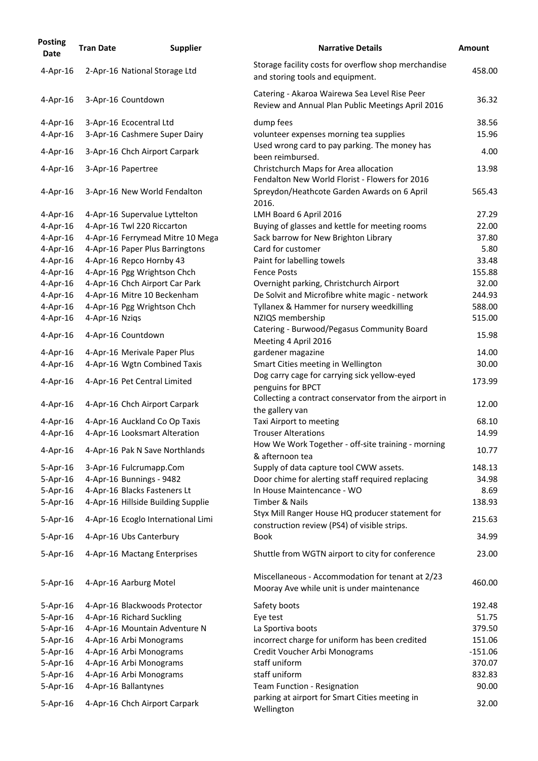| <b>Posting</b><br><b>Date</b> | <b>Tran Date</b> | <b>Supplier</b>                    | <b>Narrative Details</b>                                                                           | <b>Amount</b> |
|-------------------------------|------------------|------------------------------------|----------------------------------------------------------------------------------------------------|---------------|
| 4-Apr-16                      |                  | 2-Apr-16 National Storage Ltd      | Storage facility costs for overflow shop merchandise<br>and storing tools and equipment.           | 458.00        |
| 4-Apr-16                      |                  | 3-Apr-16 Countdown                 | Catering - Akaroa Wairewa Sea Level Rise Peer<br>Review and Annual Plan Public Meetings April 2016 | 36.32         |
| 4-Apr-16                      |                  | 3-Apr-16 Ecocentral Ltd            | dump fees                                                                                          | 38.56         |
| 4-Apr-16                      |                  | 3-Apr-16 Cashmere Super Dairy      | volunteer expenses morning tea supplies                                                            | 15.96         |
|                               |                  |                                    | Used wrong card to pay parking. The money has                                                      |               |
| $4$ -Apr-16                   |                  | 3-Apr-16 Chch Airport Carpark      | been reimbursed.                                                                                   | 4.00          |
| 4-Apr-16                      |                  | 3-Apr-16 Papertree                 | Christchurch Maps for Area allocation<br>Fendalton New World Florist - Flowers for 2016            | 13.98         |
| $4$ -Apr-16                   |                  | 3-Apr-16 New World Fendalton       | Spreydon/Heathcote Garden Awards on 6 April<br>2016.                                               | 565.43        |
| $4$ -Apr-16                   |                  | 4-Apr-16 Supervalue Lyttelton      | LMH Board 6 April 2016                                                                             | 27.29         |
| 4-Apr-16                      |                  | 4-Apr-16 Twl 220 Riccarton         | Buying of glasses and kettle for meeting rooms                                                     | 22.00         |
| $4$ -Apr-16                   |                  | 4-Apr-16 Ferrymead Mitre 10 Mega   | Sack barrow for New Brighton Library                                                               | 37.80         |
| $4$ -Apr-16                   |                  | 4-Apr-16 Paper Plus Barringtons    | Card for customer                                                                                  | 5.80          |
| $4$ -Apr-16                   |                  | 4-Apr-16 Repco Hornby 43           | Paint for labelling towels                                                                         | 33.48         |
| $4$ -Apr-16                   |                  | 4-Apr-16 Pgg Wrightson Chch        | <b>Fence Posts</b>                                                                                 | 155.88        |
| $4$ -Apr-16                   |                  | 4-Apr-16 Chch Airport Car Park     | Overnight parking, Christchurch Airport                                                            | 32.00         |
| $4$ -Apr-16                   |                  | 4-Apr-16 Mitre 10 Beckenham        | De Solvit and Microfibre white magic - network                                                     | 244.93        |
| 4-Apr-16                      |                  | 4-Apr-16 Pgg Wrightson Chch        | Tyllanex & Hammer for nursery weedkilling                                                          | 588.00        |
| $4$ -Apr-16                   | 4-Apr-16 Nziqs   |                                    | NZIQS membership                                                                                   | 515.00        |
| $4$ -Apr-16                   |                  | 4-Apr-16 Countdown                 | Catering - Burwood/Pegasus Community Board<br>Meeting 4 April 2016                                 | 15.98         |
| $4$ -Apr-16                   |                  | 4-Apr-16 Merivale Paper Plus       | gardener magazine                                                                                  | 14.00         |
| 4-Apr-16                      |                  | 4-Apr-16 Wgtn Combined Taxis       | Smart Cities meeting in Wellington                                                                 | 30.00         |
| $4$ -Apr-16                   |                  | 4-Apr-16 Pet Central Limited       | Dog carry cage for carrying sick yellow-eyed<br>penguins for BPCT                                  | 173.99        |
| $4$ -Apr-16                   |                  | 4-Apr-16 Chch Airport Carpark      | Collecting a contract conservator from the airport in<br>the gallery van                           | 12.00         |
| $4$ -Apr-16                   |                  | 4-Apr-16 Auckland Co Op Taxis      | Taxi Airport to meeting                                                                            | 68.10         |
| 4-Apr-16                      |                  | 4-Apr-16 Looksmart Alteration      | <b>Trouser Alterations</b>                                                                         | 14.99         |
| $4$ -Apr-16                   |                  | 4-Apr-16 Pak N Save Northlands     | How We Work Together - off-site training - morning<br>& afternoon tea                              | 10.77         |
| $5-Apr-16$                    |                  | 3-Apr-16 Fulcrumapp.Com            | Supply of data capture tool CWW assets.                                                            | 148.13        |
| $5 - Apr - 16$                |                  | 4-Apr-16 Bunnings - 9482           | Door chime for alerting staff required replacing                                                   | 34.98         |
| 5-Apr-16                      |                  | 4-Apr-16 Blacks Fasteners Lt       | In House Maintencance - WO                                                                         | 8.69          |
| $5 - Apr - 16$                |                  | 4-Apr-16 Hillside Building Supplie | Timber & Nails                                                                                     | 138.93        |
| 5-Apr-16                      |                  | 4-Apr-16 Ecoglo International Limi | Styx Mill Ranger House HQ producer statement for                                                   | 215.63        |
|                               |                  |                                    | construction review (PS4) of visible strips.                                                       |               |
| $5 - Apr - 16$                |                  | 4-Apr-16 Ubs Canterbury            | <b>Book</b>                                                                                        | 34.99         |
| 5-Apr-16                      |                  | 4-Apr-16 Mactang Enterprises       | Shuttle from WGTN airport to city for conference                                                   | 23.00         |
| $5 - Apr - 16$                |                  | 4-Apr-16 Aarburg Motel             | Miscellaneous - Accommodation for tenant at 2/23<br>Mooray Ave while unit is under maintenance     | 460.00        |
| $5 - Apr - 16$                |                  | 4-Apr-16 Blackwoods Protector      | Safety boots                                                                                       | 192.48        |
| 5-Apr-16                      |                  | 4-Apr-16 Richard Suckling          | Eye test                                                                                           | 51.75         |
| $5 - Apr - 16$                |                  | 4-Apr-16 Mountain Adventure N      | La Sportiva boots                                                                                  | 379.50        |
| 5-Apr-16                      |                  | 4-Apr-16 Arbi Monograms            | incorrect charge for uniform has been credited                                                     | 151.06        |
| $5 - Apr - 16$                |                  | 4-Apr-16 Arbi Monograms            | Credit Voucher Arbi Monograms                                                                      | $-151.06$     |
| 5-Apr-16                      |                  | 4-Apr-16 Arbi Monograms            | staff uniform                                                                                      | 370.07        |
| $5 - Apr - 16$                |                  | 4-Apr-16 Arbi Monograms            | staff uniform                                                                                      | 832.83        |
| $5 - Apr - 16$                |                  | 4-Apr-16 Ballantynes               | Team Function - Resignation                                                                        | 90.00         |
| 5-Apr-16                      |                  | 4-Apr-16 Chch Airport Carpark      | parking at airport for Smart Cities meeting in<br>Wellington                                       | 32.00         |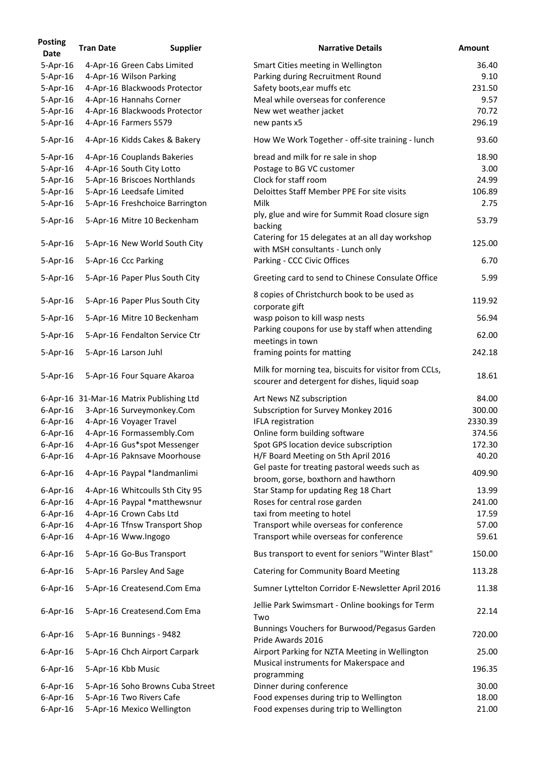| <b>Posting</b><br><b>Date</b> | <b>Tran Date</b> | <b>Supplier</b>                          | <b>Narrative Details</b>                                                                               | <b>Amount</b> |
|-------------------------------|------------------|------------------------------------------|--------------------------------------------------------------------------------------------------------|---------------|
| $5 - Apr - 16$                |                  | 4-Apr-16 Green Cabs Limited              | Smart Cities meeting in Wellington                                                                     | 36.40         |
| $5 - Apr - 16$                |                  | 4-Apr-16 Wilson Parking                  | Parking during Recruitment Round                                                                       | 9.10          |
| $5-Apr-16$                    |                  | 4-Apr-16 Blackwoods Protector            | Safety boots, ear muffs etc                                                                            | 231.50        |
| $5 - Apr - 16$                |                  | 4-Apr-16 Hannahs Corner                  | Meal while overseas for conference                                                                     | 9.57          |
| $5 - Apr - 16$                |                  | 4-Apr-16 Blackwoods Protector            | New wet weather jacket                                                                                 | 70.72         |
| $5 - Apr - 16$                |                  | 4-Apr-16 Farmers 5579                    | new pants x5                                                                                           | 296.19        |
| 5-Apr-16                      |                  | 4-Apr-16 Kidds Cakes & Bakery            | How We Work Together - off-site training - lunch                                                       | 93.60         |
| $5 - Apr - 16$                |                  | 4-Apr-16 Couplands Bakeries              | bread and milk for re sale in shop                                                                     | 18.90         |
| $5 - Apr - 16$                |                  | 4-Apr-16 South City Lotto                | Postage to BG VC customer                                                                              | 3.00          |
| $5 - Apr - 16$                |                  | 5-Apr-16 Briscoes Northlands             | Clock for staff room                                                                                   | 24.99         |
| $5 - Apr - 16$                |                  | 5-Apr-16 Leedsafe Limited                | Deloittes Staff Member PPE For site visits                                                             | 106.89        |
| $5 - Apr - 16$                |                  | 5-Apr-16 Freshchoice Barrington          | <b>Milk</b>                                                                                            | 2.75          |
| $5 - Apr - 16$                |                  | 5-Apr-16 Mitre 10 Beckenham              | ply, glue and wire for Summit Road closure sign<br>backing                                             | 53.79         |
| $5-Apr-16$                    |                  | 5-Apr-16 New World South City            | Catering for 15 delegates at an all day workshop<br>with MSH consultants - Lunch only                  | 125.00        |
| 5-Apr-16                      |                  | 5-Apr-16 Ccc Parking                     | Parking - CCC Civic Offices                                                                            | 6.70          |
| $5 - Apr - 16$                |                  | 5-Apr-16 Paper Plus South City           | Greeting card to send to Chinese Consulate Office                                                      | 5.99          |
| $5 - Apr - 16$                |                  | 5-Apr-16 Paper Plus South City           | 8 copies of Christchurch book to be used as<br>corporate gift                                          | 119.92        |
| $5 - Apr - 16$                |                  | 5-Apr-16 Mitre 10 Beckenham              | wasp poison to kill wasp nests                                                                         | 56.94         |
| $5 - Apr - 16$                |                  | 5-Apr-16 Fendalton Service Ctr           | Parking coupons for use by staff when attending<br>meetings in town                                    | 62.00         |
| $5 - Apr - 16$                |                  | 5-Apr-16 Larson Juhl                     | framing points for matting                                                                             | 242.18        |
| 5-Apr-16                      |                  | 5-Apr-16 Four Square Akaroa              | Milk for morning tea, biscuits for visitor from CCLs,<br>scourer and detergent for dishes, liquid soap | 18.61         |
|                               |                  | 6-Apr-16 31-Mar-16 Matrix Publishing Ltd | Art News NZ subscription                                                                               | 84.00         |
| $6$ -Apr-16                   |                  | 3-Apr-16 Surveymonkey.Com                | Subscription for Survey Monkey 2016                                                                    | 300.00        |
| $6$ -Apr-16                   |                  | 4-Apr-16 Voyager Travel                  | <b>IFLA registration</b>                                                                               | 2330.39       |
| $6$ -Apr-16                   |                  | 4-Apr-16 Formassembly.Com                | Online form building software                                                                          | 374.56        |
| $6$ -Apr-16                   |                  | 4-Apr-16 Gus*spot Messenger              | Spot GPS location device subscription                                                                  | 172.30        |
| $6$ -Apr-16                   |                  | 4-Apr-16 Paknsave Moorhouse              | H/F Board Meeting on 5th April 2016                                                                    | 40.20         |
| $6$ -Apr-16                   |                  | 4-Apr-16 Paypal *landmanlimi             | Gel paste for treating pastoral weeds such as                                                          | 409.90        |
|                               |                  |                                          | broom, gorse, boxthorn and hawthorn                                                                    |               |
| $6$ -Apr-16                   |                  | 4-Apr-16 Whitcoulls Sth City 95          | Star Stamp for updating Reg 18 Chart                                                                   | 13.99         |
| $6$ -Apr-16                   |                  | 4-Apr-16 Paypal *matthewsnur             | Roses for central rose garden                                                                          | 241.00        |
| $6$ -Apr-16                   |                  | 4-Apr-16 Crown Cabs Ltd                  | taxi from meeting to hotel                                                                             | 17.59         |
| $6$ -Apr-16                   |                  | 4-Apr-16 Tfnsw Transport Shop            | Transport while overseas for conference                                                                | 57.00         |
| $6$ -Apr-16                   |                  | 4-Apr-16 Www.Ingogo                      | Transport while overseas for conference                                                                | 59.61         |
| $6$ -Apr-16                   |                  | 5-Apr-16 Go-Bus Transport                | Bus transport to event for seniors "Winter Blast"                                                      | 150.00        |
| $6$ -Apr-16                   |                  | 5-Apr-16 Parsley And Sage                | <b>Catering for Community Board Meeting</b>                                                            | 113.28        |
| $6$ -Apr-16                   |                  | 5-Apr-16 Createsend.Com Ema              | Sumner Lyttelton Corridor E-Newsletter April 2016                                                      | 11.38         |
| $6$ -Apr-16                   |                  | 5-Apr-16 Createsend.Com Ema              | Jellie Park Swimsmart - Online bookings for Term<br>Two                                                | 22.14         |
| $6$ -Apr-16                   |                  | 5-Apr-16 Bunnings - 9482                 | Bunnings Vouchers for Burwood/Pegasus Garden<br>Pride Awards 2016                                      | 720.00        |
| $6$ -Apr-16                   |                  | 5-Apr-16 Chch Airport Carpark            | Airport Parking for NZTA Meeting in Wellington                                                         | 25.00         |
| $6$ -Apr-16                   |                  | 5-Apr-16 Kbb Music                       | Musical instruments for Makerspace and<br>programming                                                  | 196.35        |
| $6$ -Apr-16                   |                  | 5-Apr-16 Soho Browns Cuba Street         | Dinner during conference                                                                               | 30.00         |
| $6$ -Apr-16                   |                  | 5-Apr-16 Two Rivers Cafe                 | Food expenses during trip to Wellington                                                                | 18.00         |
| $6$ -Apr-16                   |                  | 5-Apr-16 Mexico Wellington               | Food expenses during trip to Wellington                                                                | 21.00         |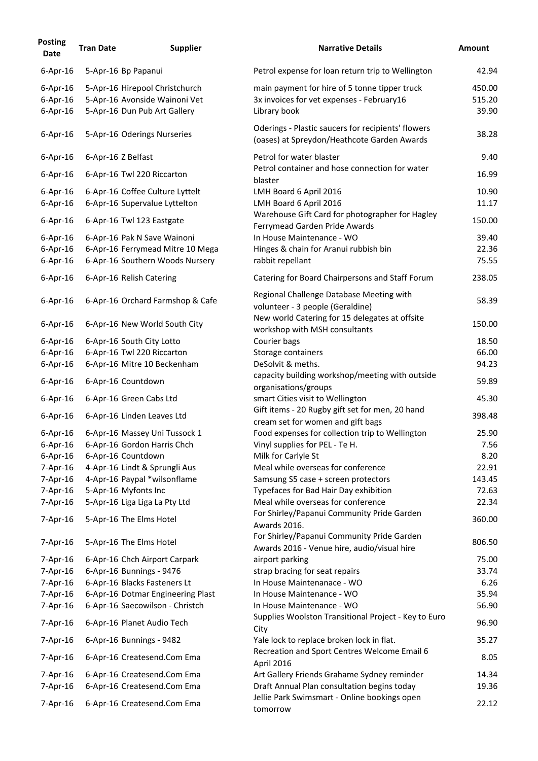| <b>Posting</b><br><b>Date</b> | <b>Tran Date</b>   | <b>Supplier</b>                   | <b>Narrative Details</b>                                                                          | <b>Amount</b> |
|-------------------------------|--------------------|-----------------------------------|---------------------------------------------------------------------------------------------------|---------------|
| $6$ -Apr-16                   |                    | 5-Apr-16 Bp Papanui               | Petrol expense for loan return trip to Wellington                                                 | 42.94         |
| $6$ -Apr-16                   |                    | 5-Apr-16 Hirepool Christchurch    | main payment for hire of 5 tonne tipper truck                                                     | 450.00        |
| $6$ -Apr-16                   |                    | 5-Apr-16 Avonside Wainoni Vet     | 3x invoices for vet expenses - February16                                                         | 515.20        |
| $6$ -Apr-16                   |                    | 5-Apr-16 Dun Pub Art Gallery      | Library book                                                                                      | 39.90         |
| $6$ -Apr-16                   |                    | 5-Apr-16 Oderings Nurseries       | Oderings - Plastic saucers for recipients' flowers<br>(oases) at Spreydon/Heathcote Garden Awards | 38.28         |
| $6$ -Apr-16                   | 6-Apr-16 Z Belfast |                                   | Petrol for water blaster                                                                          | 9.40          |
| $6$ -Apr-16                   |                    | 6-Apr-16 Twl 220 Riccarton        | Petrol container and hose connection for water<br>blaster                                         | 16.99         |
| $6$ -Apr-16                   |                    | 6-Apr-16 Coffee Culture Lyttelt   | LMH Board 6 April 2016                                                                            | 10.90         |
| $6$ -Apr-16                   |                    | 6-Apr-16 Supervalue Lyttelton     | LMH Board 6 April 2016                                                                            | 11.17         |
| $6$ -Apr-16                   |                    | 6-Apr-16 Twl 123 Eastgate         | Warehouse Gift Card for photographer for Hagley<br>Ferrymead Garden Pride Awards                  | 150.00        |
| $6$ -Apr-16                   |                    | 6-Apr-16 Pak N Save Wainoni       | In House Maintenance - WO                                                                         | 39.40         |
| $6$ -Apr-16                   |                    | 6-Apr-16 Ferrymead Mitre 10 Mega  | Hinges & chain for Aranui rubbish bin                                                             | 22.36         |
| $6$ -Apr-16                   |                    | 6-Apr-16 Southern Woods Nursery   | rabbit repellant                                                                                  | 75.55         |
| $6$ -Apr-16                   |                    | 6-Apr-16 Relish Catering          | Catering for Board Chairpersons and Staff Forum                                                   | 238.05        |
| $6$ -Apr-16                   |                    | 6-Apr-16 Orchard Farmshop & Cafe  | Regional Challenge Database Meeting with<br>volunteer - 3 people (Geraldine)                      | 58.39         |
| $6$ -Apr-16                   |                    | 6-Apr-16 New World South City     | New world Catering for 15 delegates at offsite<br>workshop with MSH consultants                   | 150.00        |
| $6$ -Apr-16                   |                    | 6-Apr-16 South City Lotto         | Courier bags                                                                                      | 18.50         |
| $6$ -Apr-16                   |                    | 6-Apr-16 Twl 220 Riccarton        | Storage containers                                                                                | 66.00         |
| $6$ -Apr-16                   |                    | 6-Apr-16 Mitre 10 Beckenham       | DeSolvit & meths.                                                                                 | 94.23         |
| $6$ -Apr-16                   |                    | 6-Apr-16 Countdown                | capacity building workshop/meeting with outside<br>organisations/groups                           | 59.89         |
| $6$ -Apr-16                   |                    | 6-Apr-16 Green Cabs Ltd           | smart Cities visit to Wellington                                                                  | 45.30         |
| $6$ -Apr-16                   |                    | 6-Apr-16 Linden Leaves Ltd        | Gift items - 20 Rugby gift set for men, 20 hand<br>cream set for women and gift bags              | 398.48        |
| $6$ -Apr-16                   |                    | 6-Apr-16 Massey Uni Tussock 1     | Food expenses for collection trip to Wellington                                                   | 25.90         |
| $6$ -Apr-16                   |                    | 6-Apr-16 Gordon Harris Chch       | Vinyl supplies for PEL - Te H.                                                                    | 7.56          |
| $6$ -Apr-16                   |                    | 6-Apr-16 Countdown                | Milk for Carlyle St                                                                               | 8.20          |
| $7$ -Apr-16                   |                    | 4-Apr-16 Lindt & Sprungli Aus     | Meal while overseas for conference                                                                | 22.91         |
| $7$ -Apr-16                   |                    | 4-Apr-16 Paypal *wilsonflame      | Samsung S5 case + screen protectors                                                               | 143.45        |
| 7-Apr-16                      |                    | 5-Apr-16 Myfonts Inc              | Typefaces for Bad Hair Day exhibition                                                             | 72.63         |
| $7$ -Apr-16                   |                    | 5-Apr-16 Liga Liga La Pty Ltd     | Meal while overseas for conference                                                                | 22.34         |
| $7$ -Apr-16                   |                    | 5-Apr-16 The Elms Hotel           | For Shirley/Papanui Community Pride Garden<br>Awards 2016.                                        | 360.00        |
| $7$ -Apr-16                   |                    | 5-Apr-16 The Elms Hotel           | For Shirley/Papanui Community Pride Garden<br>Awards 2016 - Venue hire, audio/visual hire         | 806.50        |
| $7$ -Apr-16                   |                    | 6-Apr-16 Chch Airport Carpark     | airport parking                                                                                   | 75.00         |
| 7-Apr-16                      |                    | 6-Apr-16 Bunnings - 9476          | strap bracing for seat repairs                                                                    | 33.74         |
| 7-Apr-16                      |                    | 6-Apr-16 Blacks Fasteners Lt      | In House Maintenanace - WO                                                                        | 6.26          |
| $7$ -Apr-16                   |                    | 6-Apr-16 Dotmar Engineering Plast | In House Maintenance - WO                                                                         | 35.94         |
| $7$ -Apr-16                   |                    | 6-Apr-16 Saecowilson - Christch   | In House Maintenance - WO                                                                         | 56.90         |
| $7$ -Apr-16                   |                    | 6-Apr-16 Planet Audio Tech        | Supplies Woolston Transitional Project - Key to Euro<br>City                                      | 96.90         |
| $7$ -Apr-16                   |                    | 6-Apr-16 Bunnings - 9482          | Yale lock to replace broken lock in flat.<br>Recreation and Sport Centres Welcome Email 6         | 35.27         |
| 7-Apr-16                      |                    | 6-Apr-16 Createsend.Com Ema       | April 2016                                                                                        | 8.05          |
| $7$ -Apr-16                   |                    | 6-Apr-16 Createsend.Com Ema       | Art Gallery Friends Grahame Sydney reminder                                                       | 14.34         |
| $7$ -Apr-16                   |                    | 6-Apr-16 Createsend.Com Ema       | Draft Annual Plan consultation begins today                                                       | 19.36         |
| 7-Apr-16                      |                    | 6-Apr-16 Createsend.Com Ema       | Jellie Park Swimsmart - Online bookings open<br>tomorrow                                          | 22.12         |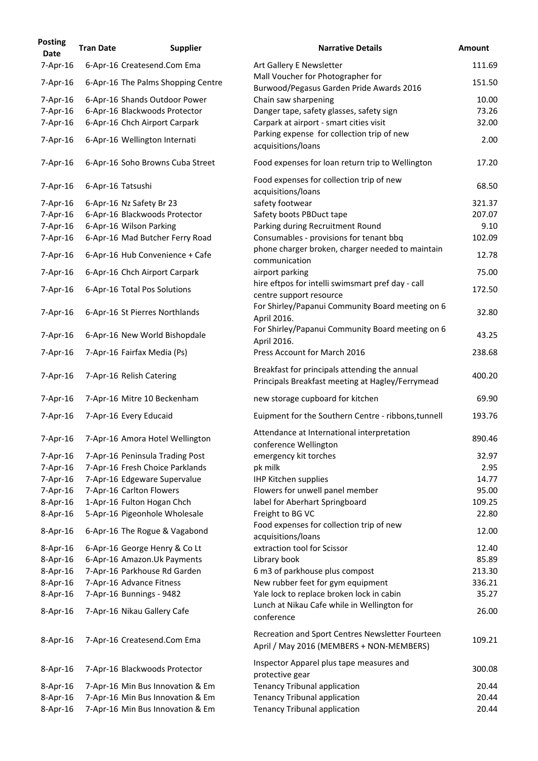| <b>Posting</b><br>Date | <b>Tran Date</b>  | <b>Supplier</b>                    | <b>Narrative Details</b>                                                                          | <b>Amount</b> |
|------------------------|-------------------|------------------------------------|---------------------------------------------------------------------------------------------------|---------------|
| 7-Apr-16               |                   | 6-Apr-16 Createsend.Com Ema        | Art Gallery E Newsletter                                                                          | 111.69        |
| 7-Apr-16               |                   | 6-Apr-16 The Palms Shopping Centre | Mall Voucher for Photographer for<br>Burwood/Pegasus Garden Pride Awards 2016                     | 151.50        |
| 7-Apr-16               |                   | 6-Apr-16 Shands Outdoor Power      | Chain saw sharpening                                                                              | 10.00         |
| 7-Apr-16               |                   | 6-Apr-16 Blackwoods Protector      | Danger tape, safety glasses, safety sign                                                          | 73.26         |
| 7-Apr-16               |                   | 6-Apr-16 Chch Airport Carpark      | Carpark at airport - smart cities visit                                                           | 32.00         |
| $7$ -Apr-16            |                   | 6-Apr-16 Wellington Internati      | Parking expense for collection trip of new<br>acquisitions/loans                                  | 2.00          |
| 7-Apr-16               |                   | 6-Apr-16 Soho Browns Cuba Street   | Food expenses for loan return trip to Wellington                                                  | 17.20         |
| $7$ -Apr-16            | 6-Apr-16 Tatsushi |                                    | Food expenses for collection trip of new<br>acquisitions/loans                                    | 68.50         |
| $7$ -Apr-16            |                   | 6-Apr-16 Nz Safety Br 23           | safety footwear                                                                                   | 321.37        |
| $7 - Apr - 16$         |                   | 6-Apr-16 Blackwoods Protector      | Safety boots PBDuct tape                                                                          | 207.07        |
| 7-Apr-16               |                   | 6-Apr-16 Wilson Parking            | Parking during Recruitment Round                                                                  | 9.10          |
| $7$ -Apr-16            |                   | 6-Apr-16 Mad Butcher Ferry Road    | Consumables - provisions for tenant bbq                                                           | 102.09        |
|                        |                   |                                    | phone charger broken, charger needed to maintain                                                  |               |
| $7 - Apr - 16$         |                   | 6-Apr-16 Hub Convenience + Cafe    | communication                                                                                     | 12.78         |
| $7$ -Apr-16            |                   | 6-Apr-16 Chch Airport Carpark      | airport parking                                                                                   | 75.00         |
| $7$ -Apr-16            |                   | 6-Apr-16 Total Pos Solutions       | hire eftpos for intelli swimsmart pref day - call<br>centre support resource                      | 172.50        |
| $7$ -Apr-16            |                   | 6-Apr-16 St Pierres Northlands     | For Shirley/Papanui Community Board meeting on 6<br>April 2016.                                   | 32.80         |
| $7$ -Apr-16            |                   | 6-Apr-16 New World Bishopdale      | For Shirley/Papanui Community Board meeting on 6<br>April 2016.                                   | 43.25         |
| $7$ -Apr-16            |                   | 7-Apr-16 Fairfax Media (Ps)        | Press Account for March 2016                                                                      | 238.68        |
| $7$ -Apr-16            |                   | 7-Apr-16 Relish Catering           | Breakfast for principals attending the annual<br>Principals Breakfast meeting at Hagley/Ferrymead | 400.20        |
| 7-Apr-16               |                   | 7-Apr-16 Mitre 10 Beckenham        | new storage cupboard for kitchen                                                                  | 69.90         |
| $7$ -Apr-16            |                   | 7-Apr-16 Every Educaid             | Euipment for the Southern Centre - ribbons, tunnell                                               | 193.76        |
| $7 - Apr - 16$         |                   | 7-Apr-16 Amora Hotel Wellington    | Attendance at International interpretation<br>conference Wellington                               | 890.46        |
| $7 - Apr - 16$         |                   | 7-Apr-16 Peninsula Trading Post    | emergency kit torches                                                                             | 32.97         |
| 7-Apr-16               |                   | 7-Apr-16 Fresh Choice Parklands    | pk milk                                                                                           | 2.95          |
| 7-Apr-16               |                   | 7-Apr-16 Edgeware Supervalue       | <b>IHP Kitchen supplies</b>                                                                       | 14.77         |
| $7$ -Apr-16            |                   | 7-Apr-16 Carlton Flowers           | Flowers for unwell panel member                                                                   | 95.00         |
| $8 - Apr - 16$         |                   | 1-Apr-16 Fulton Hogan Chch         | label for Aberhart Springboard                                                                    | 109.25        |
| $8 - Apr - 16$         |                   | 5-Apr-16 Pigeonhole Wholesale      | Freight to BG VC                                                                                  | 22.80         |
| $8 - Apr - 16$         |                   | 6-Apr-16 The Rogue & Vagabond      | Food expenses for collection trip of new<br>acquisitions/loans                                    | 12.00         |
|                        |                   |                                    | extraction tool for Scissor                                                                       | 12.40         |
| $8 - Apr - 16$         |                   | 6-Apr-16 George Henry & Co Lt      |                                                                                                   |               |
| 8-Apr-16               |                   | 6-Apr-16 Amazon.Uk Payments        | Library book                                                                                      | 85.89         |
| 8-Apr-16               |                   | 7-Apr-16 Parkhouse Rd Garden       | 6 m3 of parkhouse plus compost                                                                    | 213.30        |
| $8 - Apr - 16$         |                   | 7-Apr-16 Advance Fitness           | New rubber feet for gym equipment                                                                 | 336.21        |
| $8 - Apr - 16$         |                   | 7-Apr-16 Bunnings - 9482           | Yale lock to replace broken lock in cabin                                                         | 35.27         |
| $8 - Apr - 16$         |                   | 7-Apr-16 Nikau Gallery Cafe        | Lunch at Nikau Cafe while in Wellington for<br>conference                                         | 26.00         |
| $8 - Apr - 16$         |                   | 7-Apr-16 Createsend.Com Ema        | Recreation and Sport Centres Newsletter Fourteen<br>April / May 2016 (MEMBERS + NON-MEMBERS)      | 109.21        |
| $8 - Apr - 16$         |                   | 7-Apr-16 Blackwoods Protector      | Inspector Apparel plus tape measures and<br>protective gear                                       | 300.08        |
| $8 - Apr - 16$         |                   | 7-Apr-16 Min Bus Innovation & Em   | <b>Tenancy Tribunal application</b>                                                               | 20.44         |
| $8 - Apr - 16$         |                   | 7-Apr-16 Min Bus Innovation & Em   | <b>Tenancy Tribunal application</b>                                                               | 20.44         |
| $8-Apr-16$             |                   | 7-Apr-16 Min Bus Innovation & Em   | <b>Tenancy Tribunal application</b>                                                               | 20.44         |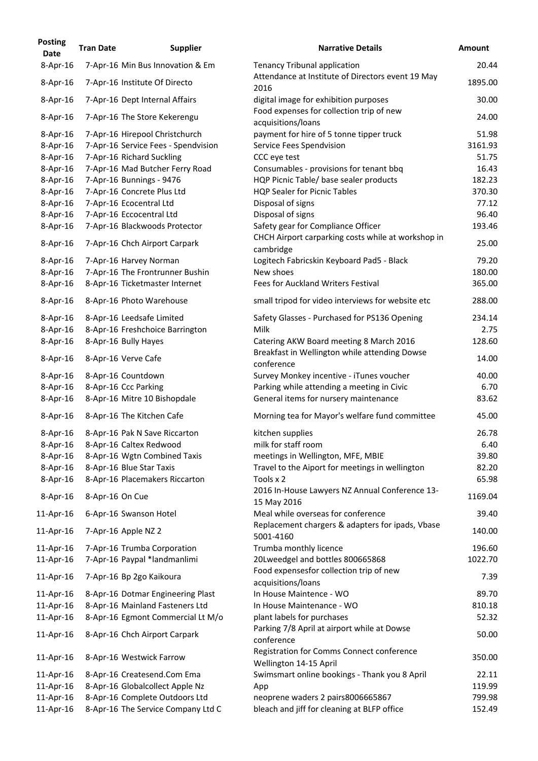| <b>Posting</b><br><b>Date</b> | <b>Tran Date</b> | <b>Supplier</b>                     | <b>Narrative Details</b>                                            | <b>Amount</b> |
|-------------------------------|------------------|-------------------------------------|---------------------------------------------------------------------|---------------|
| $8 - Apr - 16$                |                  | 7-Apr-16 Min Bus Innovation & Em    | <b>Tenancy Tribunal application</b>                                 | 20.44         |
| $8$ -Apr-16                   |                  | 7-Apr-16 Institute Of Directo       | Attendance at Institute of Directors event 19 May<br>2016           | 1895.00       |
| $8$ -Apr-16                   |                  | 7-Apr-16 Dept Internal Affairs      | digital image for exhibition purposes                               | 30.00         |
| $8$ -Apr-16                   |                  | 7-Apr-16 The Store Kekerengu        | Food expenses for collection trip of new<br>acquisitions/loans      | 24.00         |
| $8$ -Apr-16                   |                  | 7-Apr-16 Hirepool Christchurch      | payment for hire of 5 tonne tipper truck                            | 51.98         |
| $8 - Apr - 16$                |                  | 7-Apr-16 Service Fees - Spendvision | Service Fees Spendvision                                            | 3161.93       |
| $8 - Apr - 16$                |                  | 7-Apr-16 Richard Suckling           | CCC eye test                                                        | 51.75         |
| $8 - Apr - 16$                |                  | 7-Apr-16 Mad Butcher Ferry Road     | Consumables - provisions for tenant bbq                             | 16.43         |
| $8-Apr-16$                    |                  | 7-Apr-16 Bunnings - 9476            | HQP Picnic Table/ base sealer products                              | 182.23        |
| $8 - Apr - 16$                |                  | 7-Apr-16 Concrete Plus Ltd          | <b>HQP Sealer for Picnic Tables</b>                                 | 370.30        |
| $8-Apr-16$                    |                  | 7-Apr-16 Ecocentral Ltd             | Disposal of signs                                                   | 77.12         |
| $8 - Apr - 16$                |                  | 7-Apr-16 Eccocentral Ltd            | Disposal of signs                                                   | 96.40         |
| $8 - Apr - 16$                |                  | 7-Apr-16 Blackwoods Protector       | Safety gear for Compliance Officer                                  | 193.46        |
| $8$ -Apr-16                   |                  | 7-Apr-16 Chch Airport Carpark       | CHCH Airport carparking costs while at workshop in<br>cambridge     | 25.00         |
| $8 - Apr - 16$                |                  | 7-Apr-16 Harvey Norman              | Logitech Fabricskin Keyboard Pad5 - Black                           | 79.20         |
| $8 - Apr - 16$                |                  | 7-Apr-16 The Frontrunner Bushin     | New shoes                                                           | 180.00        |
| $8 - Apr - 16$                |                  | 8-Apr-16 Ticketmaster Internet      | Fees for Auckland Writers Festival                                  | 365.00        |
| $8 - Apr - 16$                |                  | 8-Apr-16 Photo Warehouse            | small tripod for video interviews for website etc                   | 288.00        |
| $8$ -Apr-16                   |                  | 8-Apr-16 Leedsafe Limited           | Safety Glasses - Purchased for PS136 Opening                        | 234.14        |
| $8 - Apr - 16$                |                  | 8-Apr-16 Freshchoice Barrington     | Milk                                                                | 2.75          |
| 8-Apr-16                      |                  | 8-Apr-16 Bully Hayes                | Catering AKW Board meeting 8 March 2016                             | 128.60        |
| $8 - Apr - 16$                |                  | 8-Apr-16 Verve Cafe                 | Breakfast in Wellington while attending Dowse<br>conference         | 14.00         |
| 8-Apr-16                      |                  | 8-Apr-16 Countdown                  | Survey Monkey incentive - iTunes voucher                            | 40.00         |
| $8 - Apr - 16$                |                  | 8-Apr-16 Ccc Parking                | Parking while attending a meeting in Civic                          | 6.70          |
| $8 - Apr - 16$                |                  | 8-Apr-16 Mitre 10 Bishopdale        | General items for nursery maintenance                               | 83.62         |
| $8 - Apr - 16$                |                  | 8-Apr-16 The Kitchen Cafe           | Morning tea for Mayor's welfare fund committee                      | 45.00         |
| $8-Apr-16$                    |                  | 8-Apr-16 Pak N Save Riccarton       | kitchen supplies                                                    | 26.78         |
| $8 - Apr - 16$                |                  | 8-Apr-16 Caltex Redwood             | milk for staff room                                                 | 6.40          |
| $8 - Apr - 16$                |                  | 8-Apr-16 Wgtn Combined Taxis        | meetings in Wellington, MFE, MBIE                                   | 39.80         |
| $8 - Apr - 16$                |                  | 8-Apr-16 Blue Star Taxis            | Travel to the Aiport for meetings in wellington                     | 82.20         |
| $8 - Apr - 16$                |                  | 8-Apr-16 Placemakers Riccarton      | Tools x 2<br>2016 In-House Lawyers NZ Annual Conference 13-         | 65.98         |
| $8 - Apr - 16$                | 8-Apr-16 On Cue  |                                     | 15 May 2016                                                         | 1169.04       |
| 11-Apr-16                     |                  | 6-Apr-16 Swanson Hotel              | Meal while overseas for conference                                  | 39.40         |
| 11-Apr-16                     |                  | 7-Apr-16 Apple NZ 2                 | Replacement chargers & adapters for ipads, Vbase<br>5001-4160       | 140.00        |
| 11-Apr-16                     |                  | 7-Apr-16 Trumba Corporation         | Trumba monthly licence                                              | 196.60        |
| 11-Apr-16                     |                  | 7-Apr-16 Paypal *landmanlimi        | 20Lweedgel and bottles 800665868                                    | 1022.70       |
| 11-Apr-16                     |                  | 7-Apr-16 Bp 2go Kaikoura            | Food expensesfor collection trip of new<br>acquisitions/loans       | 7.39          |
| 11-Apr-16                     |                  | 8-Apr-16 Dotmar Engineering Plast   | In House Maintence - WO                                             | 89.70         |
| 11-Apr-16                     |                  | 8-Apr-16 Mainland Fasteners Ltd     | In House Maintenance - WO                                           | 810.18        |
| 11-Apr-16                     |                  | 8-Apr-16 Egmont Commercial Lt M/o   | plant labels for purchases                                          | 52.32         |
| 11-Apr-16                     |                  | 8-Apr-16 Chch Airport Carpark       | Parking 7/8 April at airport while at Dowse<br>conference           | 50.00         |
| 11-Apr-16                     |                  | 8-Apr-16 Westwick Farrow            | Registration for Comms Connect conference<br>Wellington 14-15 April | 350.00        |
| 11-Apr-16                     |                  | 8-Apr-16 Createsend.Com Ema         | Swimsmart online bookings - Thank you 8 April                       | 22.11         |
| 11-Apr-16                     |                  | 8-Apr-16 Globalcollect Apple Nz     | App                                                                 | 119.99        |
| 11-Apr-16                     |                  | 8-Apr-16 Complete Outdoors Ltd      | neoprene waders 2 pairs8006665867                                   | 799.98        |
| 11-Apr-16                     |                  | 8-Apr-16 The Service Company Ltd C  | bleach and jiff for cleaning at BLFP office                         | 152.49        |
|                               |                  |                                     |                                                                     |               |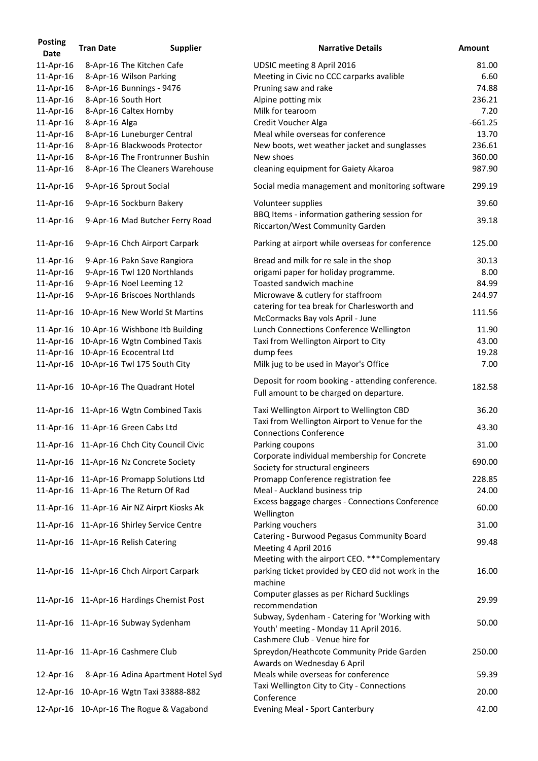| <b>Posting</b><br><b>Date</b> | <b>Tran Date</b> | <b>Supplier</b>                                           | <b>Narrative Details</b>                                                                                   | <b>Amount</b> |
|-------------------------------|------------------|-----------------------------------------------------------|------------------------------------------------------------------------------------------------------------|---------------|
| 11-Apr-16                     |                  | 8-Apr-16 The Kitchen Cafe                                 | UDSIC meeting 8 April 2016                                                                                 | 81.00         |
| 11-Apr-16                     |                  | 8-Apr-16 Wilson Parking                                   | Meeting in Civic no CCC carparks avalible                                                                  | 6.60          |
| 11-Apr-16                     |                  | 8-Apr-16 Bunnings - 9476                                  | Pruning saw and rake                                                                                       | 74.88         |
| 11-Apr-16                     |                  | 8-Apr-16 South Hort                                       | Alpine potting mix                                                                                         | 236.21        |
| 11-Apr-16                     |                  | 8-Apr-16 Caltex Hornby                                    | Milk for tearoom                                                                                           | 7.20          |
| 11-Apr-16                     | 8-Apr-16 Alga    |                                                           | <b>Credit Voucher Alga</b>                                                                                 | $-661.25$     |
| 11-Apr-16                     |                  | 8-Apr-16 Luneburger Central                               | Meal while overseas for conference                                                                         | 13.70         |
| 11-Apr-16                     |                  | 8-Apr-16 Blackwoods Protector                             | New boots, wet weather jacket and sunglasses                                                               | 236.61        |
| 11-Apr-16                     |                  | 8-Apr-16 The Frontrunner Bushin                           | New shoes                                                                                                  | 360.00        |
|                               |                  |                                                           |                                                                                                            | 987.90        |
| 11-Apr-16<br>11-Apr-16        |                  | 8-Apr-16 The Cleaners Warehouse<br>9-Apr-16 Sprout Social | cleaning equipment for Gaiety Akaroa<br>Social media management and monitoring software                    | 299.19        |
| 11-Apr-16                     |                  | 9-Apr-16 Sockburn Bakery                                  | Volunteer supplies                                                                                         | 39.60         |
| 11-Apr-16                     |                  | 9-Apr-16 Mad Butcher Ferry Road                           | BBQ Items - information gathering session for<br>Riccarton/West Community Garden                           | 39.18         |
| 11-Apr-16                     |                  | 9-Apr-16 Chch Airport Carpark                             | Parking at airport while overseas for conference                                                           | 125.00        |
| 11-Apr-16                     |                  | 9-Apr-16 Pakn Save Rangiora                               | Bread and milk for re sale in the shop                                                                     | 30.13         |
| 11-Apr-16                     |                  | 9-Apr-16 Twl 120 Northlands                               | origami paper for holiday programme.                                                                       | 8.00          |
| 11-Apr-16                     |                  | 9-Apr-16 Noel Leeming 12                                  | Toasted sandwich machine                                                                                   | 84.99         |
| 11-Apr-16                     |                  | 9-Apr-16 Briscoes Northlands                              | Microwave & cutlery for staffroom                                                                          | 244.97        |
| 11-Apr-16                     |                  | 10-Apr-16 New World St Martins                            | catering for tea break for Charlesworth and<br>McCormacks Bay vols April - June                            | 111.56        |
| 11-Apr-16                     |                  | 10-Apr-16 Wishbone Itb Building                           | Lunch Connections Conference Wellington                                                                    | 11.90         |
| 11-Apr-16                     |                  | 10-Apr-16 Wgtn Combined Taxis                             | Taxi from Wellington Airport to City                                                                       | 43.00         |
| 11-Apr-16                     |                  | 10-Apr-16 Ecocentral Ltd                                  | dump fees                                                                                                  | 19.28         |
| 11-Apr-16                     |                  | 10-Apr-16 Twl 175 South City                              | Milk jug to be used in Mayor's Office                                                                      | 7.00          |
|                               |                  | 11-Apr-16 10-Apr-16 The Quadrant Hotel                    | Deposit for room booking - attending conference.<br>Full amount to be charged on departure.                | 182.58        |
|                               |                  | 11-Apr-16 11-Apr-16 Wgtn Combined Taxis                   | Taxi Wellington Airport to Wellington CBD                                                                  | 36.20         |
|                               |                  | 11-Apr-16 11-Apr-16 Green Cabs Ltd                        | Taxi from Wellington Airport to Venue for the<br><b>Connections Conference</b>                             | 43.30         |
|                               |                  | 11-Apr-16 11-Apr-16 Chch City Council Civic               | Parking coupons<br>Corporate individual membership for Concrete                                            | 31.00         |
|                               |                  | 11-Apr-16 11-Apr-16 Nz Concrete Society                   | Society for structural engineers                                                                           | 690.00        |
|                               |                  | 11-Apr-16 11-Apr-16 Promapp Solutions Ltd                 | Promapp Conference registration fee                                                                        | 228.85        |
|                               |                  | 11-Apr-16 11-Apr-16 The Return Of Rad                     | Meal - Auckland business trip                                                                              | 24.00         |
|                               |                  | 11-Apr-16 11-Apr-16 Air NZ Airprt Kiosks Ak               | Excess baggage charges - Connections Conference<br>Wellington                                              | 60.00         |
|                               |                  | 11-Apr-16 11-Apr-16 Shirley Service Centre                | Parking vouchers                                                                                           | 31.00         |
|                               |                  |                                                           | Catering - Burwood Pegasus Community Board                                                                 |               |
|                               |                  | 11-Apr-16 11-Apr-16 Relish Catering                       | Meeting 4 April 2016<br>Meeting with the airport CEO. *** Complementary                                    | 99.48         |
|                               |                  | 11-Apr-16 11-Apr-16 Chch Airport Carpark                  | parking ticket provided by CEO did not work in the<br>machine                                              | 16.00         |
|                               |                  | 11-Apr-16 11-Apr-16 Hardings Chemist Post                 | Computer glasses as per Richard Sucklings<br>recommendation                                                | 29.99         |
|                               |                  | 11-Apr-16 11-Apr-16 Subway Sydenham                       | Subway, Sydenham - Catering for 'Working with<br>Youth' meeting - Monday 11 April 2016.                    | 50.00         |
|                               |                  | 11-Apr-16 11-Apr-16 Cashmere Club                         | Cashmere Club - Venue hire for<br>Spreydon/Heathcote Community Pride Garden<br>Awards on Wednesday 6 April | 250.00        |
| 12-Apr-16                     |                  | 8-Apr-16 Adina Apartment Hotel Syd                        | Meals while overseas for conference                                                                        | 59.39         |
|                               |                  | 12-Apr-16 10-Apr-16 Wgtn Taxi 33888-882                   | Taxi Wellington City to City - Connections<br>Conference                                                   | 20.00         |
|                               |                  | 12-Apr-16 10-Apr-16 The Rogue & Vagabond                  | <b>Evening Meal - Sport Canterbury</b>                                                                     | 42.00         |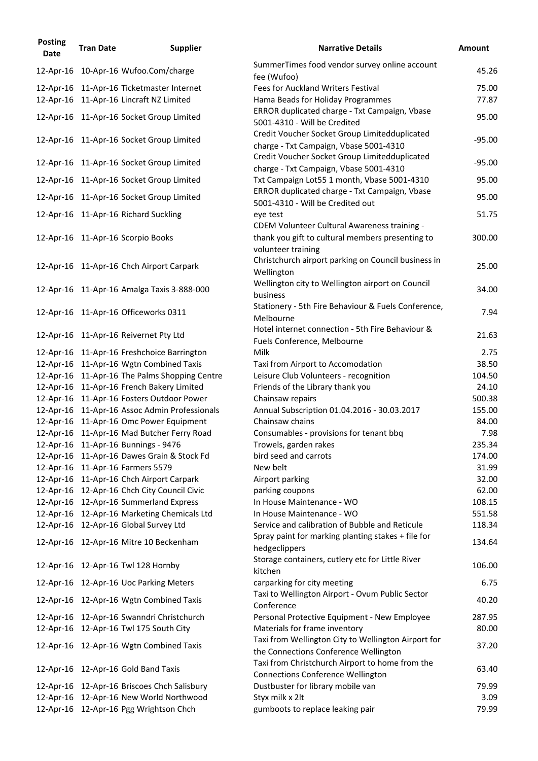| <b>Posting</b><br><b>Date</b> | <b>Tran Date</b> | <b>Supplier</b>                                                                    | <b>Narrative Details</b>                                                                     | <b>Amount</b>    |
|-------------------------------|------------------|------------------------------------------------------------------------------------|----------------------------------------------------------------------------------------------|------------------|
|                               |                  | 12-Apr-16 10-Apr-16 Wufoo.Com/charge                                               | SummerTimes food vendor survey online account<br>fee (Wufoo)                                 | 45.26            |
|                               |                  | 12-Apr-16 11-Apr-16 Ticketmaster Internet                                          | <b>Fees for Auckland Writers Festival</b>                                                    | 75.00            |
|                               |                  | 12-Apr-16 11-Apr-16 Lincraft NZ Limited                                            | Hama Beads for Holiday Programmes                                                            | 77.87            |
|                               |                  | 12-Apr-16 11-Apr-16 Socket Group Limited                                           | ERROR duplicated charge - Txt Campaign, Vbase<br>5001-4310 - Will be Credited                | 95.00            |
|                               |                  | 12-Apr-16 11-Apr-16 Socket Group Limited                                           | Credit Voucher Socket Group Limitedduplicated<br>charge - Txt Campaign, Vbase 5001-4310      | $-95.00$         |
|                               |                  | 12-Apr-16 11-Apr-16 Socket Group Limited                                           | Credit Voucher Socket Group Limitedduplicated<br>charge - Txt Campaign, Vbase 5001-4310      | $-95.00$         |
|                               |                  | 12-Apr-16 11-Apr-16 Socket Group Limited                                           | Txt Campaign Lot55 1 month, Vbase 5001-4310                                                  | 95.00            |
|                               |                  | 12-Apr-16 11-Apr-16 Socket Group Limited                                           | ERROR duplicated charge - Txt Campaign, Vbase<br>5001-4310 - Will be Credited out            | 95.00            |
|                               |                  | 12-Apr-16 11-Apr-16 Richard Suckling                                               | eye test                                                                                     | 51.75            |
|                               |                  |                                                                                    | CDEM Volunteer Cultural Awareness training -                                                 |                  |
|                               |                  | 12-Apr-16 11-Apr-16 Scorpio Books                                                  | thank you gift to cultural members presenting to<br>volunteer training                       | 300.00           |
|                               |                  | 12-Apr-16 11-Apr-16 Chch Airport Carpark                                           | Christchurch airport parking on Council business in<br>Wellington                            | 25.00            |
|                               |                  | 12-Apr-16 11-Apr-16 Amalga Taxis 3-888-000                                         | Wellington city to Wellington airport on Council<br>business                                 | 34.00            |
|                               |                  | 12-Apr-16 11-Apr-16 Officeworks 0311                                               | Stationery - 5th Fire Behaviour & Fuels Conference,<br>Melbourne                             | 7.94             |
|                               |                  | 12-Apr-16 11-Apr-16 Reivernet Pty Ltd                                              | Hotel internet connection - 5th Fire Behaviour &<br>Fuels Conference, Melbourne              | 21.63            |
|                               |                  | 12-Apr-16 11-Apr-16 Freshchoice Barrington                                         | Milk                                                                                         | 2.75             |
|                               |                  | 12-Apr-16 11-Apr-16 Wgtn Combined Taxis                                            | Taxi from Airport to Accomodation                                                            | 38.50            |
|                               |                  | 12-Apr-16 11-Apr-16 The Palms Shopping Centre                                      | Leisure Club Volunteers - recognition                                                        | 104.50           |
|                               |                  | 12-Apr-16 11-Apr-16 French Bakery Limited                                          | Friends of the Library thank you                                                             | 24.10            |
|                               |                  | 12-Apr-16 11-Apr-16 Fosters Outdoor Power                                          | Chainsaw repairs                                                                             | 500.38           |
|                               |                  | 12-Apr-16 11-Apr-16 Assoc Admin Professionals                                      | Annual Subscription 01.04.2016 - 30.03.2017                                                  | 155.00           |
|                               |                  | 12-Apr-16 11-Apr-16 Omc Power Equipment                                            | Chainsaw chains                                                                              | 84.00            |
|                               |                  | 12-Apr-16 11-Apr-16 Mad Butcher Ferry Road                                         | Consumables - provisions for tenant bbq                                                      | 7.98             |
|                               |                  | 12-Apr-16  11-Apr-16 Bunnings - 9476<br>12-Apr-16 11-Apr-16 Dawes Grain & Stock Fd | Trowels, garden rakes<br>bird seed and carrots                                               | 235.34<br>174.00 |
|                               |                  | 12-Apr-16 11-Apr-16 Farmers 5579                                                   | New belt                                                                                     | 31.99            |
|                               |                  | 12-Apr-16 11-Apr-16 Chch Airport Carpark                                           | Airport parking                                                                              | 32.00            |
|                               |                  | 12-Apr-16 12-Apr-16 Chch City Council Civic                                        | parking coupons                                                                              | 62.00            |
|                               |                  | 12-Apr-16 12-Apr-16 Summerland Express                                             | In House Maintenance - WO                                                                    | 108.15           |
|                               |                  | 12-Apr-16 12-Apr-16 Marketing Chemicals Ltd                                        | In House Maintenance - WO                                                                    | 551.58           |
|                               |                  | 12-Apr-16 12-Apr-16 Global Survey Ltd                                              | Service and calibration of Bubble and Reticule                                               | 118.34           |
|                               |                  | 12-Apr-16 12-Apr-16 Mitre 10 Beckenham                                             | Spray paint for marking planting stakes + file for<br>hedgeclippers                          | 134.64           |
|                               |                  | 12-Apr-16 12-Apr-16 Twl 128 Hornby                                                 | Storage containers, cutlery etc for Little River<br>kitchen                                  | 106.00           |
|                               |                  | 12-Apr-16 12-Apr-16 Uoc Parking Meters                                             | carparking for city meeting                                                                  | 6.75             |
|                               |                  | 12-Apr-16 12-Apr-16 Wgtn Combined Taxis                                            | Taxi to Wellington Airport - Ovum Public Sector<br>Conference                                | 40.20            |
|                               |                  | 12-Apr-16 12-Apr-16 Swanndri Christchurch                                          | Personal Protective Equipment - New Employee                                                 | 287.95           |
|                               |                  | 12-Apr-16  12-Apr-16 Twl 175 South City                                            | Materials for frame inventory                                                                | 80.00            |
|                               |                  | 12-Apr-16 12-Apr-16 Wgtn Combined Taxis                                            | Taxi from Wellington City to Wellington Airport for<br>the Connections Conference Wellington | 37.20            |
|                               |                  | 12-Apr-16 12-Apr-16 Gold Band Taxis                                                | Taxi from Christchurch Airport to home from the<br><b>Connections Conference Wellington</b>  | 63.40            |
|                               |                  | 12-Apr-16 12-Apr-16 Briscoes Chch Salisbury                                        | Dustbuster for library mobile van                                                            | 79.99            |
|                               |                  | 12-Apr-16 12-Apr-16 New World Northwood                                            | Styx milk x 2lt                                                                              | 3.09             |
|                               |                  | 12-Apr-16 12-Apr-16 Pgg Wrightson Chch                                             | gumboots to replace leaking pair                                                             | 79.99            |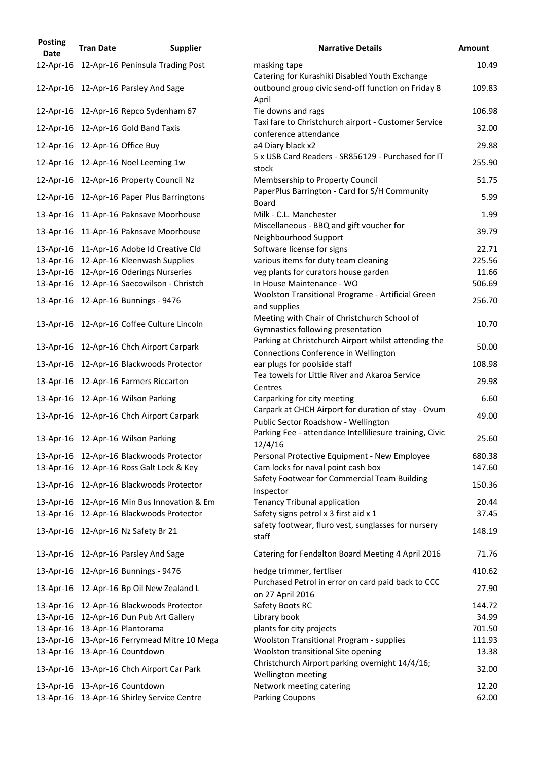| <b>Posting</b><br><b>Date</b> | <b>Tran Date</b>               | <b>Supplier</b>                             | <b>Narrative Details</b>                                                                       | <b>Amount</b> |
|-------------------------------|--------------------------------|---------------------------------------------|------------------------------------------------------------------------------------------------|---------------|
| 12-Apr-16                     |                                | 12-Apr-16 Peninsula Trading Post            | masking tape<br>Catering for Kurashiki Disabled Youth Exchange                                 | 10.49         |
|                               |                                | 12-Apr-16 12-Apr-16 Parsley And Sage        | outbound group civic send-off function on Friday 8<br>April                                    | 109.83        |
|                               |                                | 12-Apr-16 12-Apr-16 Repco Sydenham 67       | Tie downs and rags                                                                             | 106.98        |
|                               |                                | 12-Apr-16 12-Apr-16 Gold Band Taxis         | Taxi fare to Christchurch airport - Customer Service<br>conference attendance                  | 32.00         |
|                               | 12-Apr-16 12-Apr-16 Office Buy |                                             | a4 Diary black x2                                                                              | 29.88         |
|                               |                                | 12-Apr-16 12-Apr-16 Noel Leeming 1w         | 5 x USB Card Readers - SR856129 - Purchased for IT<br>stock                                    | 255.90        |
|                               |                                | 12-Apr-16 12-Apr-16 Property Council Nz     | Membsership to Property Council                                                                | 51.75         |
|                               |                                | 12-Apr-16 12-Apr-16 Paper Plus Barringtons  | PaperPlus Barrington - Card for S/H Community<br><b>Board</b>                                  | 5.99          |
|                               |                                | 13-Apr-16 11-Apr-16 Paknsave Moorhouse      | Milk - C.L. Manchester                                                                         | 1.99          |
|                               |                                | 13-Apr-16 11-Apr-16 Paknsave Moorhouse      | Miscellaneous - BBQ and gift voucher for                                                       | 39.79         |
|                               |                                | 13-Apr-16 11-Apr-16 Adobe Id Creative Cld   | Neighbourhood Support<br>Software license for signs                                            | 22.71         |
|                               |                                | 13-Apr-16 12-Apr-16 Kleenwash Supplies      | various items for duty team cleaning                                                           | 225.56        |
|                               |                                | 13-Apr-16 12-Apr-16 Oderings Nurseries      | veg plants for curators house garden                                                           | 11.66         |
|                               |                                | 13-Apr-16 12-Apr-16 Saecowilson - Christch  | In House Maintenance - WO                                                                      | 506.69        |
|                               |                                |                                             | Woolston Transitional Programe - Artificial Green                                              |               |
|                               |                                | 13-Apr-16  12-Apr-16 Bunnings - 9476        | and supplies                                                                                   | 256.70        |
|                               |                                | 13-Apr-16 12-Apr-16 Coffee Culture Lincoln  | Meeting with Chair of Christchurch School of<br>Gymnastics following presentation              | 10.70         |
|                               |                                | 13-Apr-16 12-Apr-16 Chch Airport Carpark    | Parking at Christchurch Airport whilst attending the<br>Connections Conference in Wellington   | 50.00         |
|                               |                                | 13-Apr-16 12-Apr-16 Blackwoods Protector    | ear plugs for poolside staff                                                                   | 108.98        |
|                               |                                | 13-Apr-16 12-Apr-16 Farmers Riccarton       | Tea towels for Little River and Akaroa Service<br>Centres                                      | 29.98         |
|                               |                                | 13-Apr-16 12-Apr-16 Wilson Parking          | Carparking for city meeting                                                                    | 6.60          |
|                               |                                |                                             | Carpark at CHCH Airport for duration of stay - Ovum                                            |               |
|                               |                                | 13-Apr-16 12-Apr-16 Chch Airport Carpark    | Public Sector Roadshow - Wellington<br>Parking Fee - attendance Intelliliesure training, Civic | 49.00         |
|                               |                                | 13-Apr-16 12-Apr-16 Wilson Parking          | 12/4/16                                                                                        | 25.60         |
|                               |                                | 13-Apr-16 12-Apr-16 Blackwoods Protector    | Personal Protective Equipment - New Employee                                                   | 680.38        |
|                               |                                | 13-Apr-16 12-Apr-16 Ross Galt Lock & Key    | Cam locks for naval point cash box                                                             | 147.60        |
|                               |                                | 13-Apr-16 12-Apr-16 Blackwoods Protector    | Safety Footwear for Commercial Team Building<br>Inspector                                      | 150.36        |
|                               |                                | 13-Apr-16 12-Apr-16 Min Bus Innovation & Em | <b>Tenancy Tribunal application</b>                                                            | 20.44         |
|                               |                                | 13-Apr-16 12-Apr-16 Blackwoods Protector    | Safety signs petrol x 3 first aid x 1                                                          | 37.45         |
|                               |                                | 13-Apr-16 12-Apr-16 Nz Safety Br 21         | safety footwear, fluro vest, sunglasses for nursery<br>staff                                   | 148.19        |
|                               |                                | 13-Apr-16 12-Apr-16 Parsley And Sage        | Catering for Fendalton Board Meeting 4 April 2016                                              | 71.76         |
|                               |                                | 13-Apr-16  12-Apr-16 Bunnings - 9476        | hedge trimmer, fertliser                                                                       | 410.62        |
|                               |                                | 13-Apr-16 12-Apr-16 Bp Oil New Zealand L    | Purchased Petrol in error on card paid back to CCC<br>on 27 April 2016                         | 27.90         |
|                               |                                | 13-Apr-16 12-Apr-16 Blackwoods Protector    | Safety Boots RC                                                                                | 144.72        |
|                               |                                | 13-Apr-16 12-Apr-16 Dun Pub Art Gallery     | Library book                                                                                   | 34.99         |
|                               |                                | 13-Apr-16 13-Apr-16 Plantorama              | plants for city projects                                                                       | 701.50        |
|                               |                                | 13-Apr-16 13-Apr-16 Ferrymead Mitre 10 Mega | <b>Woolston Transitional Program - supplies</b>                                                | 111.93        |
|                               |                                | 13-Apr-16 13-Apr-16 Countdown               | Woolston transitional Site opening                                                             | 13.38         |
|                               |                                | 13-Apr-16 13-Apr-16 Chch Airport Car Park   | Christchurch Airport parking overnight 14/4/16;<br>Wellington meeting                          | 32.00         |
|                               |                                | 13-Apr-16 13-Apr-16 Countdown               | Network meeting catering                                                                       | 12.20         |
|                               |                                | 13-Apr-16 13-Apr-16 Shirley Service Centre  | <b>Parking Coupons</b>                                                                         | 62.00         |

| <b>Narrative Details</b>                                                                     | <b>Amount</b> |
|----------------------------------------------------------------------------------------------|---------------|
| masking tape                                                                                 | 10.49         |
| Catering for Kurashiki Disabled Youth Exchange                                               |               |
| outbound group civic send-off function on Friday 8                                           | 109.83        |
| April                                                                                        |               |
| Tie downs and rags<br>Taxi fare to Christchurch airport - Customer Service                   | 106.98        |
| conference attendance                                                                        | 32.00         |
| a4 Diary black x2                                                                            | 29.88         |
| 5 x USB Card Readers - SR856129 - Purchased for IT                                           |               |
| stock                                                                                        | 255.90        |
| Membsership to Property Council                                                              | 51.75         |
| PaperPlus Barrington - Card for S/H Community                                                | 5.99          |
| <b>Board</b>                                                                                 |               |
| Milk - C.L. Manchester<br>Miscellaneous - BBQ and gift voucher for                           | 1.99          |
| Neighbourhood Support                                                                        | 39.79         |
| Software license for signs                                                                   | 22.71         |
| various items for duty team cleaning                                                         | 225.56        |
| veg plants for curators house garden                                                         | 11.66         |
| In House Maintenance - WO                                                                    | 506.69        |
| <b>Woolston Transitional Programe - Artificial Green</b>                                     | 256.70        |
| and supplies                                                                                 |               |
| Meeting with Chair of Christchurch School of                                                 | 10.70         |
| Gymnastics following presentation<br>Parking at Christchurch Airport whilst attending the    |               |
| Connections Conference in Wellington                                                         | 50.00         |
| ear plugs for poolside staff                                                                 | 108.98        |
| Tea towels for Little River and Akaroa Service                                               | 29.98         |
| Centres                                                                                      |               |
| Carparking for city meeting                                                                  | 6.60          |
| Carpark at CHCH Airport for duration of stay - Ovum                                          | 49.00         |
| Public Sector Roadshow - Wellington                                                          |               |
| Parking Fee - attendance Intelliliesure training, Civic<br>12/4/16                           | 25.60         |
| Personal Protective Equipment - New Employee                                                 | 680.38        |
| Cam locks for naval point cash box                                                           | 147.60        |
| Safety Footwear for Commercial Team Building                                                 |               |
| Inspector                                                                                    | 150.36        |
| Tenancy Tribunal application                                                                 | 20.44         |
| Safety signs petrol x 3 first aid x 1                                                        | 37.45         |
| safety footwear, fluro vest, sunglasses for nursery                                          | 148.19        |
| staff                                                                                        |               |
| Catering for Fendalton Board Meeting 4 April 2016                                            | 71.76         |
| hedge trimmer, fertliser                                                                     | 410.62        |
| Purchased Petrol in error on card paid back to CCC                                           |               |
| on 27 April 2016                                                                             | 27.90         |
| Safety Boots RC                                                                              | 144.72        |
| Library book                                                                                 | 34.99         |
| plants for city projects                                                                     | 701.50        |
| <b>Woolston Transitional Program - supplies</b>                                              | 111.93        |
| <b>Woolston transitional Site opening</b><br>Christchurch Airport parking overnight 14/4/16; | 13.38         |
| Wellington meeting                                                                           | 32.00         |
| Network meeting catering                                                                     | 12.20         |
| <b>Parking Coupons</b>                                                                       | 62.00         |
|                                                                                              |               |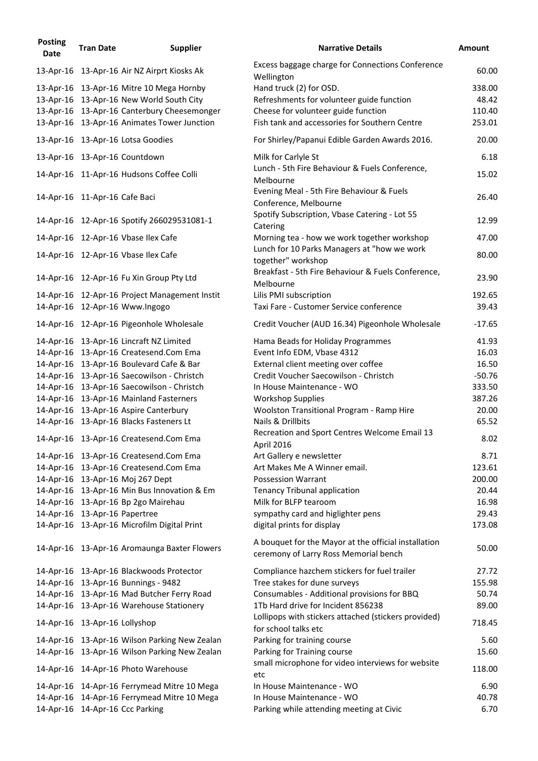| <b>Posting</b><br><b>Date</b> | <b>Tran Date</b>              | <b>Supplier</b>                               | <b>Narrative Details</b>                                                                      | <b>Amount</b> |
|-------------------------------|-------------------------------|-----------------------------------------------|-----------------------------------------------------------------------------------------------|---------------|
|                               |                               | 13-Apr-16 13-Apr-16 Air NZ Airprt Kiosks Ak   | Excess baggage charge for Connections Conference<br>Wellington                                | 60.00         |
|                               |                               | 13-Apr-16 13-Apr-16 Mitre 10 Mega Hornby      | Hand truck (2) for OSD.                                                                       | 338.00        |
|                               |                               | 13-Apr-16 13-Apr-16 New World South City      | Refreshments for volunteer guide function                                                     | 48.42         |
|                               |                               | 13-Apr-16 13-Apr-16 Canterbury Cheesemonger   | Cheese for volunteer guide function                                                           | 110.40        |
|                               |                               | 13-Apr-16 13-Apr-16 Animates Tower Junction   | Fish tank and accessories for Southern Centre                                                 | 253.01        |
|                               |                               | 13-Apr-16 13-Apr-16 Lotsa Goodies             | For Shirley/Papanui Edible Garden Awards 2016.                                                | 20.00         |
|                               |                               | 13-Apr-16 13-Apr-16 Countdown                 | Milk for Carlyle St                                                                           | 6.18          |
|                               |                               | 14-Apr-16 11-Apr-16 Hudsons Coffee Colli      | Lunch - 5th Fire Behaviour & Fuels Conference,<br>Melbourne                                   | 15.02         |
|                               | 14-Apr-16 11-Apr-16 Cafe Baci |                                               | Evening Meal - 5th Fire Behaviour & Fuels<br>Conference, Melbourne                            | 26.40         |
|                               |                               | 14-Apr-16 12-Apr-16 Spotify 266029531081-1    | Spotify Subscription, Vbase Catering - Lot 55<br>Catering                                     | 12.99         |
|                               |                               | 14-Apr-16 12-Apr-16 Vbase Ilex Cafe           | Morning tea - how we work together workshop                                                   | 47.00         |
|                               |                               | 14-Apr-16 12-Apr-16 Vbase Ilex Cafe           | Lunch for 10 Parks Managers at "how we work<br>together" workshop                             | 80.00         |
|                               |                               | 14-Apr-16 12-Apr-16 Fu Xin Group Pty Ltd      | Breakfast - 5th Fire Behaviour & Fuels Conference,<br>Melbourne                               | 23.90         |
|                               |                               | 14-Apr-16 12-Apr-16 Project Management Instit | Lilis PMI subscription                                                                        | 192.65        |
|                               |                               | 14-Apr-16 12-Apr-16 Www.Ingogo                | Taxi Fare - Customer Service conference                                                       | 39.43         |
|                               |                               | 14-Apr-16 12-Apr-16 Pigeonhole Wholesale      | Credit Voucher (AUD 16.34) Pigeonhole Wholesale                                               | $-17.65$      |
|                               |                               | 14-Apr-16 13-Apr-16 Lincraft NZ Limited       | Hama Beads for Holiday Programmes                                                             | 41.93         |
|                               |                               | 14-Apr-16 13-Apr-16 Createsend.Com Ema        | Event Info EDM, Vbase 4312                                                                    | 16.03         |
|                               |                               | 14-Apr-16 13-Apr-16 Boulevard Cafe & Bar      | External client meeting over coffee                                                           | 16.50         |
|                               |                               | 14-Apr-16 13-Apr-16 Saecowilson - Christch    | Credit Voucher Saecowilson - Christch                                                         | $-50.76$      |
|                               |                               | 14-Apr-16 13-Apr-16 Saecowilson - Christch    | In House Maintenance - WO                                                                     | 333.50        |
|                               |                               | 14-Apr-16 13-Apr-16 Mainland Fasterners       | <b>Workshop Supplies</b>                                                                      | 387.26        |
|                               |                               | 14-Apr-16 13-Apr-16 Aspire Canterbury         | <b>Woolston Transitional Program - Ramp Hire</b>                                              | 20.00         |
|                               |                               | 14-Apr-16 13-Apr-16 Blacks Fasteners Lt       | Nails & Drillbits                                                                             | 65.52         |
|                               |                               | 14-Apr-16 13-Apr-16 Createsend.Com Ema        | Recreation and Sport Centres Welcome Email 13<br>April 2016                                   | 8.02          |
|                               |                               | 14-Apr-16 13-Apr-16 Createsend.Com Ema        | Art Gallery e newsletter                                                                      | 8.71          |
|                               |                               | 14-Apr-16 13-Apr-16 Createsend.Com Ema        | Art Makes Me A Winner email.                                                                  | 123.61        |
|                               |                               | 14-Apr-16 13-Apr-16 Moj 267 Dept              | <b>Possession Warrant</b>                                                                     | 200.00        |
|                               |                               | 14-Apr-16 13-Apr-16 Min Bus Innovation & Em   | <b>Tenancy Tribunal application</b>                                                           | 20.44         |
|                               |                               | 14-Apr-16 13-Apr-16 Bp 2go Mairehau           | Milk for BLFP tearoom                                                                         | 16.98         |
|                               | 14-Apr-16 13-Apr-16 Papertree |                                               | sympathy card and higlighter pens                                                             | 29.43         |
|                               |                               | 14-Apr-16 13-Apr-16 Microfilm Digital Print   | digital prints for display                                                                    | 173.08        |
|                               |                               | 14-Apr-16 13-Apr-16 Aromaunga Baxter Flowers  | A bouquet for the Mayor at the official installation<br>ceremony of Larry Ross Memorial bench | 50.00         |
|                               |                               | 14-Apr-16 13-Apr-16 Blackwoods Protector      | Compliance hazchem stickers for fuel trailer                                                  | 27.72         |
|                               |                               | 14-Apr-16  13-Apr-16 Bunnings - 9482          | Tree stakes for dune surveys                                                                  | 155.98        |
|                               |                               | 14-Apr-16 13-Apr-16 Mad Butcher Ferry Road    | Consumables - Additional provisions for BBQ                                                   | 50.74         |
|                               |                               | 14-Apr-16 13-Apr-16 Warehouse Stationery      | 1Tb Hard drive for Incident 856238                                                            | 89.00         |
|                               | 14-Apr-16 13-Apr-16 Lollyshop |                                               | Lollipops with stickers attached (stickers provided)<br>for school talks etc                  | 718.45        |
|                               |                               | 14-Apr-16 13-Apr-16 Wilson Parking New Zealan | Parking for training course                                                                   | 5.60          |
|                               |                               | 14-Apr-16 13-Apr-16 Wilson Parking New Zealan | Parking for Training course                                                                   | 15.60         |
|                               |                               | 14-Apr-16 14-Apr-16 Photo Warehouse           | small microphone for video interviews for website<br>etc                                      | 118.00        |
|                               |                               | 14-Apr-16 14-Apr-16 Ferrymead Mitre 10 Mega   | In House Maintenance - WO                                                                     | 6.90          |
|                               |                               | 14-Apr-16 14-Apr-16 Ferrymead Mitre 10 Mega   | In House Maintenance - WO                                                                     | 40.78         |
|                               |                               | 14-Apr-16 14-Apr-16 Ccc Parking               | Parking while attending meeting at Civic                                                      | 6.70          |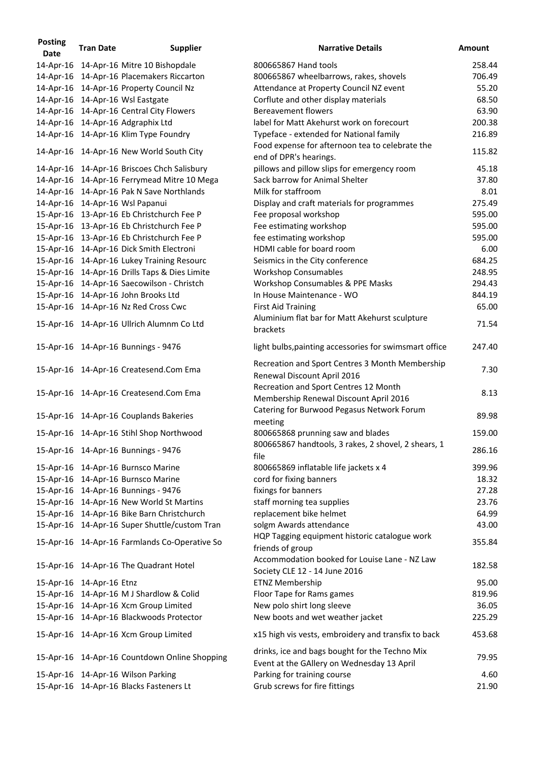| <b>Posting</b><br><b>Date</b> | <b>Tran Date</b>         | <b>Supplier</b>                               | <b>Narrative Details</b>                                                                     | <b>Amount</b> |
|-------------------------------|--------------------------|-----------------------------------------------|----------------------------------------------------------------------------------------------|---------------|
|                               |                          | 14-Apr-16 14-Apr-16 Mitre 10 Bishopdale       | 800665867 Hand tools                                                                         | 258.44        |
|                               |                          | 14-Apr-16 14-Apr-16 Placemakers Riccarton     | 800665867 wheelbarrows, rakes, shovels                                                       | 706.49        |
|                               |                          | 14-Apr-16 14-Apr-16 Property Council Nz       | Attendance at Property Council NZ event                                                      | 55.20         |
|                               |                          | 14-Apr-16 14-Apr-16 Wsl Eastgate              | Corflute and other display materials                                                         | 68.50         |
|                               |                          | 14-Apr-16 14-Apr-16 Central City Flowers      | <b>Bereavement flowers</b>                                                                   | 63.90         |
|                               |                          | 14-Apr-16 14-Apr-16 Adgraphix Ltd             | label for Matt Akehurst work on forecourt                                                    | 200.38        |
|                               |                          | 14-Apr-16 14-Apr-16 Klim Type Foundry         | Typeface - extended for National family                                                      | 216.89        |
|                               |                          | 14-Apr-16 14-Apr-16 New World South City      | Food expense for afternoon tea to celebrate the<br>end of DPR's hearings.                    | 115.82        |
|                               |                          | 14-Apr-16 14-Apr-16 Briscoes Chch Salisbury   | pillows and pillow slips for emergency room                                                  | 45.18         |
|                               |                          | 14-Apr-16 14-Apr-16 Ferrymead Mitre 10 Mega   | Sack barrow for Animal Shelter                                                               | 37.80         |
|                               |                          | 14-Apr-16 14-Apr-16 Pak N Save Northlands     | Milk for staffroom                                                                           | 8.01          |
|                               |                          | 14-Apr-16 14-Apr-16 Wsl Papanui               | Display and craft materials for programmes                                                   | 275.49        |
|                               |                          | 15-Apr-16 13-Apr-16 Eb Christchurch Fee P     | Fee proposal workshop                                                                        | 595.00        |
|                               |                          | 15-Apr-16 13-Apr-16 Eb Christchurch Fee P     | Fee estimating workshop                                                                      | 595.00        |
|                               |                          | 15-Apr-16 13-Apr-16 Eb Christchurch Fee P     | fee estimating workshop                                                                      | 595.00        |
|                               |                          | 15-Apr-16 14-Apr-16 Dick Smith Electroni      | HDMI cable for board room                                                                    | 6.00          |
|                               |                          | 15-Apr-16 14-Apr-16 Lukey Training Resourc    | Seismics in the City conference                                                              | 684.25        |
|                               |                          | 15-Apr-16 14-Apr-16 Drills Taps & Dies Limite | <b>Workshop Consumables</b>                                                                  | 248.95        |
|                               |                          | 15-Apr-16 14-Apr-16 Saecowilson - Christch    | Workshop Consumables & PPE Masks                                                             | 294.43        |
|                               |                          | 15-Apr-16 14-Apr-16 John Brooks Ltd           | In House Maintenance - WO                                                                    | 844.19        |
|                               |                          |                                               |                                                                                              | 65.00         |
|                               |                          | 15-Apr-16 14-Apr-16 Nz Red Cross Cwc          | <b>First Aid Training</b>                                                                    |               |
|                               |                          | 15-Apr-16 14-Apr-16 Ullrich Alumnm Co Ltd     | Aluminium flat bar for Matt Akehurst sculpture<br>brackets                                   | 71.54         |
|                               |                          | 15-Apr-16  14-Apr-16 Bunnings - 9476          | light bulbs, painting accessories for swimsmart office                                       | 247.40        |
|                               |                          | 15-Apr-16 14-Apr-16 Createsend.Com Ema        | Recreation and Sport Centres 3 Month Membership<br>Renewal Discount April 2016               | 7.30          |
|                               |                          | 15-Apr-16 14-Apr-16 Createsend.Com Ema        | Recreation and Sport Centres 12 Month<br>Membership Renewal Discount April 2016              | 8.13          |
|                               |                          | 15-Apr-16 14-Apr-16 Couplands Bakeries        | Catering for Burwood Pegasus Network Forum<br>meeting                                        | 89.98         |
|                               |                          | 15-Apr-16 14-Apr-16 Stihl Shop Northwood      | 800665868 prunning saw and blades<br>800665867 handtools, 3 rakes, 2 shovel, 2 shears, 1     | 159.00        |
|                               |                          | 15-Apr-16  14-Apr-16 Bunnings - 9476          | file                                                                                         | 286.16        |
|                               |                          | 15-Apr-16 14-Apr-16 Burnsco Marine            | 800665869 inflatable life jackets x 4                                                        | 399.96        |
|                               |                          | 15-Apr-16 14-Apr-16 Burnsco Marine            | cord for fixing banners                                                                      | 18.32         |
|                               |                          | 15-Apr-16  14-Apr-16 Bunnings - 9476          | fixings for banners                                                                          | 27.28         |
|                               |                          | 15-Apr-16 14-Apr-16 New World St Martins      | staff morning tea supplies                                                                   | 23.76         |
|                               |                          | 15-Apr-16 14-Apr-16 Bike Barn Christchurch    | replacement bike helmet                                                                      | 64.99         |
|                               |                          | 15-Apr-16 14-Apr-16 Super Shuttle/custom Tran | solgm Awards attendance                                                                      | 43.00         |
|                               |                          | 15-Apr-16 14-Apr-16 Farmlands Co-Operative So | HQP Tagging equipment historic catalogue work<br>friends of group                            | 355.84        |
|                               |                          | 15-Apr-16 14-Apr-16 The Quadrant Hotel        | Accommodation booked for Louise Lane - NZ Law<br>Society CLE 12 - 14 June 2016               | 182.58        |
|                               | 15-Apr-16 14-Apr-16 Etnz |                                               | <b>ETNZ Membership</b>                                                                       | 95.00         |
|                               |                          | 15-Apr-16 14-Apr-16 M J Shardlow & Colid      | Floor Tape for Rams games                                                                    | 819.96        |
|                               |                          | 15-Apr-16 14-Apr-16 Xcm Group Limited         | New polo shirt long sleeve                                                                   | 36.05         |
|                               |                          | 15-Apr-16 14-Apr-16 Blackwoods Protector      | New boots and wet weather jacket                                                             | 225.29        |
|                               |                          |                                               |                                                                                              |               |
|                               |                          | 15-Apr-16 14-Apr-16 Xcm Group Limited         | x15 high vis vests, embroidery and transfix to back                                          | 453.68        |
|                               |                          | 15-Apr-16 14-Apr-16 Countdown Online Shopping | drinks, ice and bags bought for the Techno Mix<br>Event at the GAllery on Wednesday 13 April | 79.95         |
|                               |                          | 15-Apr-16 14-Apr-16 Wilson Parking            | Parking for training course                                                                  | 4.60          |
|                               |                          | 15-Apr-16 14-Apr-16 Blacks Fasteners Lt       | Grub screws for fire fittings                                                                | 21.90         |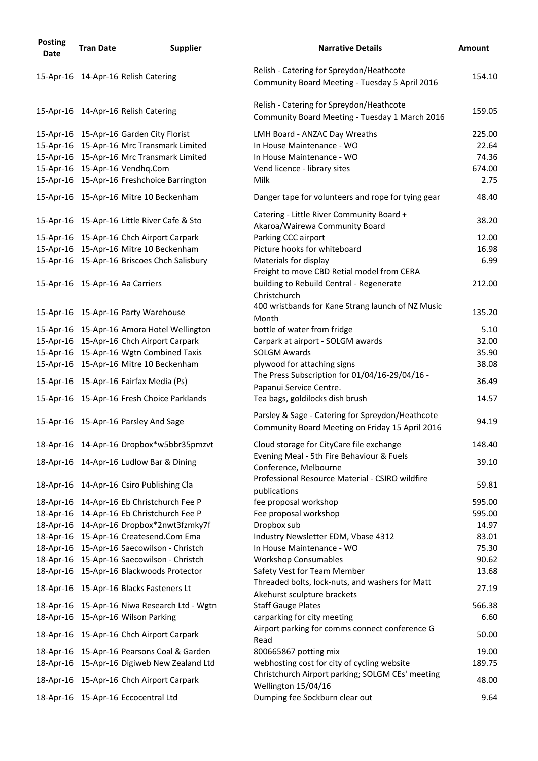| <b>Posting</b><br><b>Date</b> | <b>Tran Date</b> | <b>Supplier</b>                                                                         | <b>Narrative Details</b>                                                                            | <b>Amount</b>   |
|-------------------------------|------------------|-----------------------------------------------------------------------------------------|-----------------------------------------------------------------------------------------------------|-----------------|
|                               |                  | 15-Apr-16 14-Apr-16 Relish Catering                                                     | Relish - Catering for Spreydon/Heathcote<br>Community Board Meeting - Tuesday 5 April 2016          | 154.10          |
|                               |                  | 15-Apr-16 14-Apr-16 Relish Catering                                                     | Relish - Catering for Spreydon/Heathcote<br>Community Board Meeting - Tuesday 1 March 2016          | 159.05          |
|                               |                  | 15-Apr-16 15-Apr-16 Garden City Florist                                                 | LMH Board - ANZAC Day Wreaths                                                                       | 225.00          |
|                               |                  | 15-Apr-16 15-Apr-16 Mrc Transmark Limited                                               | In House Maintenance - WO                                                                           | 22.64           |
|                               |                  | 15-Apr-16 15-Apr-16 Mrc Transmark Limited                                               | In House Maintenance - WO                                                                           | 74.36           |
|                               |                  | 15-Apr-16 15-Apr-16 Vendhq.Com                                                          | Vend licence - library sites                                                                        | 674.00          |
|                               |                  | 15-Apr-16 15-Apr-16 Freshchoice Barrington                                              | Milk                                                                                                | 2.75            |
|                               |                  | 15-Apr-16 15-Apr-16 Mitre 10 Beckenham                                                  | Danger tape for volunteers and rope for tying gear                                                  | 48.40           |
|                               |                  | 15-Apr-16 15-Apr-16 Little River Cafe & Sto                                             | Catering - Little River Community Board +                                                           | 38.20           |
|                               |                  | 15-Apr-16 15-Apr-16 Chch Airport Carpark                                                | Akaroa/Wairewa Community Board<br>Parking CCC airport                                               | 12.00           |
|                               |                  | 15-Apr-16 15-Apr-16 Mitre 10 Beckenham                                                  | Picture hooks for whiteboard                                                                        | 16.98           |
|                               |                  | 15-Apr-16 15-Apr-16 Briscoes Chch Salisbury                                             | Materials for display                                                                               | 6.99            |
|                               |                  |                                                                                         | Freight to move CBD Retial model from CERA                                                          |                 |
|                               |                  | 15-Apr-16 15-Apr-16 Aa Carriers                                                         | building to Rebuild Central - Regenerate                                                            | 212.00          |
|                               |                  | 15-Apr-16 15-Apr-16 Party Warehouse                                                     | Christchurch<br>400 wristbands for Kane Strang launch of NZ Music                                   | 135.20          |
|                               |                  |                                                                                         | Month                                                                                               |                 |
|                               |                  | 15-Apr-16 15-Apr-16 Amora Hotel Wellington                                              | bottle of water from fridge                                                                         | 5.10            |
|                               |                  | 15-Apr-16 15-Apr-16 Chch Airport Carpark                                                | Carpark at airport - SOLGM awards                                                                   | 32.00           |
|                               |                  | 15-Apr-16 15-Apr-16 Wgtn Combined Taxis                                                 | <b>SOLGM Awards</b>                                                                                 | 35.90           |
|                               |                  | 15-Apr-16 15-Apr-16 Mitre 10 Beckenham                                                  | plywood for attaching signs                                                                         | 38.08           |
|                               |                  | 15-Apr-16 15-Apr-16 Fairfax Media (Ps)                                                  | The Press Subscription for 01/04/16-29/04/16 -<br>Papanui Service Centre.                           | 36.49           |
|                               |                  | 15-Apr-16 15-Apr-16 Fresh Choice Parklands                                              | Tea bags, goldilocks dish brush                                                                     | 14.57           |
|                               |                  | 15-Apr-16 15-Apr-16 Parsley And Sage                                                    | Parsley & Sage - Catering for Spreydon/Heathcote<br>Community Board Meeting on Friday 15 April 2016 | 94.19           |
|                               |                  | 18-Apr-16 14-Apr-16 Dropbox*w5bbr35pmzvt                                                | Cloud storage for CityCare file exchange                                                            | 148.40          |
|                               |                  | 18-Apr-16 14-Apr-16 Ludlow Bar & Dining                                                 | Evening Meal - 5th Fire Behaviour & Fuels<br>Conference, Melbourne                                  | 39.10           |
|                               |                  | 18-Apr-16 14-Apr-16 Csiro Publishing Cla                                                | Professional Resource Material - CSIRO wildfire<br>publications                                     | 59.81           |
|                               |                  | 18-Apr-16 14-Apr-16 Eb Christchurch Fee P                                               | fee proposal workshop                                                                               | 595.00          |
|                               |                  | 18-Apr-16 14-Apr-16 Eb Christchurch Fee P                                               | Fee proposal workshop                                                                               | 595.00          |
|                               |                  | 18-Apr-16 14-Apr-16 Dropbox*2nwt3fzmky7f                                                | Dropbox sub                                                                                         | 14.97           |
|                               |                  | 18-Apr-16 15-Apr-16 Createsend.Com Ema                                                  | Industry Newsletter EDM, Vbase 4312                                                                 | 83.01           |
|                               |                  | 18-Apr-16 15-Apr-16 Saecowilson - Christch                                              | In House Maintenance - WO                                                                           | 75.30           |
|                               |                  | 18-Apr-16 15-Apr-16 Saecowilson - Christch                                              | <b>Workshop Consumables</b>                                                                         | 90.62           |
|                               |                  | 18-Apr-16 15-Apr-16 Blackwoods Protector                                                | Safety Vest for Team Member                                                                         | 13.68           |
|                               |                  | 18-Apr-16 15-Apr-16 Blacks Fasteners Lt                                                 | Threaded bolts, lock-nuts, and washers for Matt<br>Akehurst sculpture brackets                      | 27.19           |
|                               |                  | 18-Apr-16 15-Apr-16 Niwa Research Ltd - Wgtn                                            | <b>Staff Gauge Plates</b>                                                                           | 566.38          |
|                               |                  | 18-Apr-16 15-Apr-16 Wilson Parking                                                      | carparking for city meeting                                                                         | 6.60            |
|                               |                  |                                                                                         | Airport parking for comms connect conference G                                                      |                 |
|                               |                  | 18-Apr-16 15-Apr-16 Chch Airport Carpark                                                | Read                                                                                                | 50.00           |
|                               |                  | 18-Apr-16 15-Apr-16 Pearsons Coal & Garden                                              | 800665867 potting mix                                                                               | 19.00           |
|                               |                  | 18-Apr-16 15-Apr-16 Digiweb New Zealand Ltd<br>18-Apr-16 15-Apr-16 Chch Airport Carpark | webhosting cost for city of cycling website<br>Christchurch Airport parking; SOLGM CEs' meeting     | 189.75<br>48.00 |
|                               |                  |                                                                                         | Wellington 15/04/16                                                                                 |                 |
|                               |                  | 18-Apr-16 15-Apr-16 Eccocentral Ltd                                                     | Dumping fee Sockburn clear out                                                                      | 9.64            |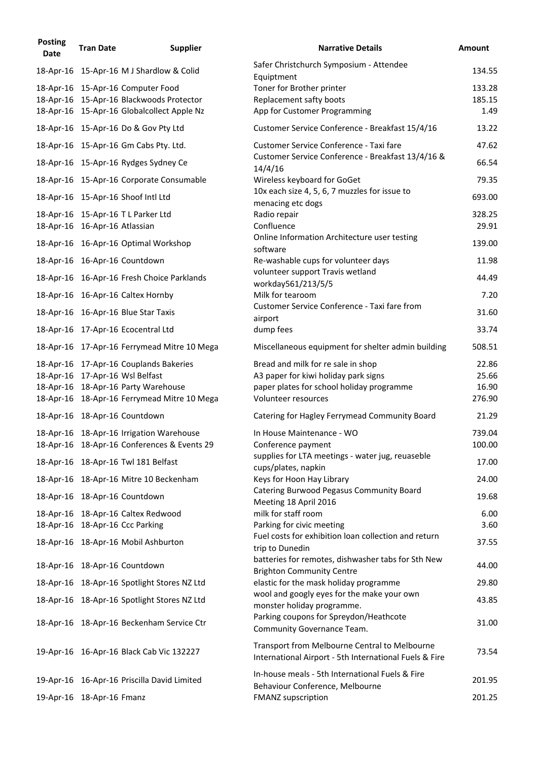| <b>Posting</b><br><b>Date</b> | <b>Tran Date</b>              | <b>Supplier</b>                             | <b>Narrative Details</b>                                                                                | <b>Amount</b> |
|-------------------------------|-------------------------------|---------------------------------------------|---------------------------------------------------------------------------------------------------------|---------------|
|                               |                               | 18-Apr-16 15-Apr-16 M J Shardlow & Colid    | Safer Christchurch Symposium - Attendee<br>Equiptment                                                   | 134.55        |
|                               |                               | 18-Apr-16 15-Apr-16 Computer Food           | Toner for Brother printer                                                                               | 133.28        |
|                               |                               | 18-Apr-16 15-Apr-16 Blackwoods Protector    | Replacement safty boots                                                                                 | 185.15        |
|                               |                               | 18-Apr-16 15-Apr-16 Globalcollect Apple Nz  | App for Customer Programming                                                                            | 1.49          |
|                               |                               | 18-Apr-16 15-Apr-16 Do & Gov Pty Ltd        | Customer Service Conference - Breakfast 15/4/16                                                         | 13.22         |
|                               |                               | 18-Apr-16 15-Apr-16 Gm Cabs Pty. Ltd.       | Customer Service Conference - Taxi fare                                                                 | 47.62         |
|                               |                               | 18-Apr-16 15-Apr-16 Rydges Sydney Ce        | Customer Service Conference - Breakfast 13/4/16 &<br>14/4/16                                            | 66.54         |
|                               |                               | 18-Apr-16 15-Apr-16 Corporate Consumable    | Wireless keyboard for GoGet                                                                             | 79.35         |
|                               |                               | 18-Apr-16 15-Apr-16 Shoof Intl Ltd          | 10x each size 4, 5, 6, 7 muzzles for issue to<br>menacing etc dogs                                      | 693.00        |
|                               |                               | 18-Apr-16 15-Apr-16 T L Parker Ltd          | Radio repair                                                                                            | 328.25        |
|                               | 18-Apr-16 16-Apr-16 Atlassian |                                             | Confluence                                                                                              | 29.91         |
|                               |                               | 18-Apr-16 16-Apr-16 Optimal Workshop        | Online Information Architecture user testing<br>software                                                | 139.00        |
|                               |                               | 18-Apr-16 16-Apr-16 Countdown               | Re-washable cups for volunteer days                                                                     | 11.98         |
|                               |                               | 18-Apr-16 16-Apr-16 Fresh Choice Parklands  | volunteer support Travis wetland                                                                        | 44.49         |
|                               |                               | 18-Apr-16 16-Apr-16 Caltex Hornby           | workday561/213/5/5<br>Milk for tearoom                                                                  | 7.20          |
|                               |                               | 18-Apr-16 16-Apr-16 Blue Star Taxis         | Customer Service Conference - Taxi fare from                                                            | 31.60         |
|                               |                               | 18-Apr-16 17-Apr-16 Ecocentral Ltd          | airport<br>dump fees                                                                                    | 33.74         |
|                               |                               | 18-Apr-16 17-Apr-16 Ferrymead Mitre 10 Mega | Miscellaneous equipment for shelter admin building                                                      | 508.51        |
|                               |                               | 18-Apr-16 17-Apr-16 Couplands Bakeries      | Bread and milk for re sale in shop                                                                      | 22.86         |
|                               |                               | 18-Apr-16 17-Apr-16 Wsl Belfast             | A3 paper for kiwi holiday park signs                                                                    | 25.66         |
|                               |                               | 18-Apr-16 18-Apr-16 Party Warehouse         | paper plates for school holiday programme<br>Volunteer resources                                        | 16.90         |
|                               |                               | 18-Apr-16 18-Apr-16 Ferrymead Mitre 10 Mega |                                                                                                         | 276.90        |
|                               |                               | 18-Apr-16 18-Apr-16 Countdown               | Catering for Hagley Ferrymead Community Board                                                           | 21.29         |
|                               |                               | 18-Apr-16 18-Apr-16 Irrigation Warehouse    | In House Maintenance - WO                                                                               | 739.04        |
|                               |                               | 18-Apr-16 18-Apr-16 Conferences & Events 29 | Conference payment                                                                                      | 100.00        |
|                               |                               | 18-Apr-16 18-Apr-16 Twl 181 Belfast         | supplies for LTA meetings - water jug, reuaseble<br>cups/plates, napkin                                 | 17.00         |
|                               |                               | 18-Apr-16 18-Apr-16 Mitre 10 Beckenham      | Keys for Hoon Hay Library                                                                               | 24.00         |
|                               |                               | 18-Apr-16 18-Apr-16 Countdown               | Catering Burwood Pegasus Community Board<br>Meeting 18 April 2016                                       | 19.68         |
|                               |                               | 18-Apr-16 18-Apr-16 Caltex Redwood          | milk for staff room                                                                                     | 6.00          |
|                               |                               | 18-Apr-16 18-Apr-16 Ccc Parking             | Parking for civic meeting                                                                               | 3.60          |
|                               |                               | 18-Apr-16 18-Apr-16 Mobil Ashburton         | Fuel costs for exhibition loan collection and return<br>trip to Dunedin                                 | 37.55         |
|                               |                               | 18-Apr-16 18-Apr-16 Countdown               | batteries for remotes, dishwasher tabs for Sth New<br><b>Brighton Community Centre</b>                  | 44.00         |
|                               |                               | 18-Apr-16 18-Apr-16 Spotlight Stores NZ Ltd | elastic for the mask holiday programme                                                                  | 29.80         |
|                               |                               | 18-Apr-16 18-Apr-16 Spotlight Stores NZ Ltd | wool and googly eyes for the make your own                                                              | 43.85         |
|                               |                               |                                             | monster holiday programme.                                                                              |               |
|                               |                               | 18-Apr-16 18-Apr-16 Beckenham Service Ctr   | Parking coupons for Spreydon/Heathcote<br>Community Governance Team.                                    | 31.00         |
|                               |                               | 19-Apr-16 16-Apr-16 Black Cab Vic 132227    | Transport from Melbourne Central to Melbourne<br>International Airport - 5th International Fuels & Fire | 73.54         |
|                               |                               | 19-Apr-16 16-Apr-16 Priscilla David Limited | In-house meals - 5th International Fuels & Fire<br>Behaviour Conference, Melbourne                      | 201.95        |
|                               | 19-Apr-16 18-Apr-16 Fmanz     |                                             | <b>FMANZ supscription</b>                                                                               | 201.25        |
|                               |                               |                                             |                                                                                                         |               |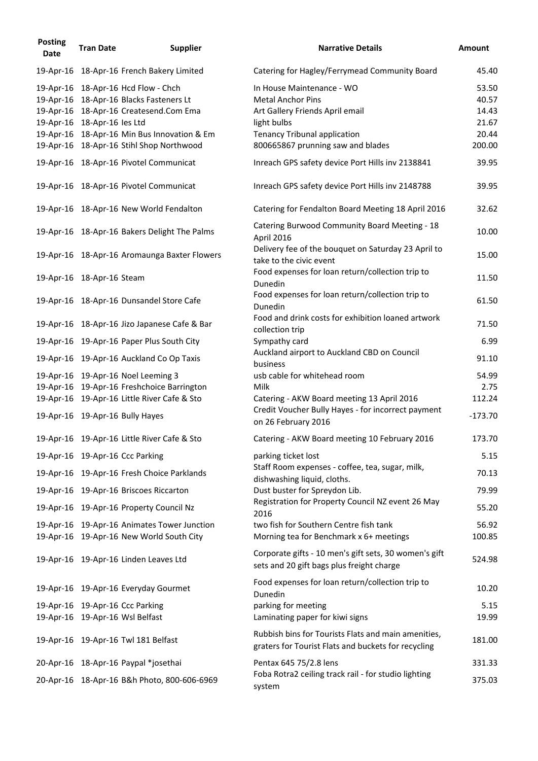| <b>Posting</b><br><b>Date</b> | <b>Tran Date</b>            | <b>Supplier</b>                                                                                                                                                                                                     | <b>Narrative Details</b>                                                                                                                                                            | <b>Amount</b>                                       |
|-------------------------------|-----------------------------|---------------------------------------------------------------------------------------------------------------------------------------------------------------------------------------------------------------------|-------------------------------------------------------------------------------------------------------------------------------------------------------------------------------------|-----------------------------------------------------|
|                               |                             | 19-Apr-16 18-Apr-16 French Bakery Limited                                                                                                                                                                           | Catering for Hagley/Ferrymead Community Board                                                                                                                                       | 45.40                                               |
|                               | 19-Apr-16 18-Apr-16 les Ltd | 19-Apr-16 18-Apr-16 Hcd Flow - Chch<br>19-Apr-16 18-Apr-16 Blacks Fasteners Lt<br>19-Apr-16 18-Apr-16 Createsend.Com Ema<br>19-Apr-16 18-Apr-16 Min Bus Innovation & Em<br>19-Apr-16 18-Apr-16 Stihl Shop Northwood | In House Maintenance - WO<br><b>Metal Anchor Pins</b><br>Art Gallery Friends April email<br>light bulbs<br><b>Tenancy Tribunal application</b><br>800665867 prunning saw and blades | 53.50<br>40.57<br>14.43<br>21.67<br>20.44<br>200.00 |
|                               |                             | 19-Apr-16 18-Apr-16 Pivotel Communicat                                                                                                                                                                              | Inreach GPS safety device Port Hills inv 2138841                                                                                                                                    | 39.95                                               |
|                               |                             | 19-Apr-16 18-Apr-16 Pivotel Communicat                                                                                                                                                                              | Inreach GPS safety device Port Hills inv 2148788                                                                                                                                    | 39.95                                               |
|                               |                             | 19-Apr-16 18-Apr-16 New World Fendalton                                                                                                                                                                             | Catering for Fendalton Board Meeting 18 April 2016                                                                                                                                  | 32.62                                               |
|                               |                             | 19-Apr-16 18-Apr-16 Bakers Delight The Palms                                                                                                                                                                        | Catering Burwood Community Board Meeting - 18<br>April 2016                                                                                                                         | 10.00                                               |
|                               |                             | 19-Apr-16 18-Apr-16 Aromaunga Baxter Flowers                                                                                                                                                                        | Delivery fee of the bouquet on Saturday 23 April to<br>take to the civic event                                                                                                      | 15.00                                               |
|                               | 19-Apr-16 18-Apr-16 Steam   |                                                                                                                                                                                                                     | Food expenses for loan return/collection trip to<br>Dunedin                                                                                                                         | 11.50                                               |
|                               |                             | 19-Apr-16 18-Apr-16 Dunsandel Store Cafe                                                                                                                                                                            | Food expenses for loan return/collection trip to<br>Dunedin                                                                                                                         | 61.50                                               |
|                               |                             | 19-Apr-16 18-Apr-16 Jizo Japanese Cafe & Bar                                                                                                                                                                        | Food and drink costs for exhibition loaned artwork<br>collection trip                                                                                                               | 71.50                                               |
|                               |                             | 19-Apr-16 19-Apr-16 Paper Plus South City                                                                                                                                                                           | Sympathy card                                                                                                                                                                       | 6.99                                                |
|                               |                             | 19-Apr-16 19-Apr-16 Auckland Co Op Taxis                                                                                                                                                                            | Auckland airport to Auckland CBD on Council<br>business                                                                                                                             | 91.10                                               |
|                               |                             | 19-Apr-16 19-Apr-16 Noel Leeming 3<br>19-Apr-16 19-Apr-16 Freshchoice Barrington<br>19-Apr-16 19-Apr-16 Little River Cafe & Sto<br>19-Apr-16 19-Apr-16 Bully Hayes                                                  | usb cable for whitehead room<br>Milk<br>Catering - AKW Board meeting 13 April 2016<br>Credit Voucher Bully Hayes - for incorrect payment<br>on 26 February 2016                     | 54.99<br>2.75<br>112.24<br>$-173.70$                |
|                               |                             | 19-Apr-16 19-Apr-16 Little River Cafe & Sto                                                                                                                                                                         | Catering - AKW Board meeting 10 February 2016                                                                                                                                       | 173.70                                              |
|                               |                             | 19-Apr-16 19-Apr-16 Ccc Parking                                                                                                                                                                                     | parking ticket lost                                                                                                                                                                 | 5.15                                                |
|                               |                             | 19-Apr-16 19-Apr-16 Fresh Choice Parklands                                                                                                                                                                          | Staff Room expenses - coffee, tea, sugar, milk,<br>dishwashing liquid, cloths.                                                                                                      | 70.13                                               |
|                               |                             | 19-Apr-16 19-Apr-16 Briscoes Riccarton                                                                                                                                                                              | Dust buster for Spreydon Lib.                                                                                                                                                       | 79.99                                               |
|                               |                             | 19-Apr-16 19-Apr-16 Property Council Nz                                                                                                                                                                             | Registration for Property Council NZ event 26 May<br>2016                                                                                                                           | 55.20                                               |
|                               |                             | 19-Apr-16 19-Apr-16 Animates Tower Junction                                                                                                                                                                         | two fish for Southern Centre fish tank                                                                                                                                              | 56.92                                               |
|                               |                             | 19-Apr-16 19-Apr-16 New World South City<br>19-Apr-16 19-Apr-16 Linden Leaves Ltd                                                                                                                                   | Morning tea for Benchmark x 6+ meetings<br>Corporate gifts - 10 men's gift sets, 30 women's gift<br>sets and 20 gift bags plus freight charge                                       | 100.85<br>524.98                                    |
|                               |                             | 19-Apr-16 19-Apr-16 Everyday Gourmet                                                                                                                                                                                | Food expenses for loan return/collection trip to<br>Dunedin                                                                                                                         | 10.20                                               |
|                               |                             | 19-Apr-16 19-Apr-16 Ccc Parking                                                                                                                                                                                     | parking for meeting                                                                                                                                                                 | 5.15                                                |
|                               |                             | 19-Apr-16 19-Apr-16 Wsl Belfast<br>19-Apr-16 19-Apr-16 Twl 181 Belfast                                                                                                                                              | Laminating paper for kiwi signs<br>Rubbish bins for Tourists Flats and main amenities,<br>graters for Tourist Flats and buckets for recycling                                       | 19.99<br>181.00                                     |
|                               |                             | 20-Apr-16 18-Apr-16 Paypal *josethai                                                                                                                                                                                | Pentax 645 75/2.8 lens                                                                                                                                                              | 331.33                                              |
|                               |                             | 20-Apr-16 18-Apr-16 B&h Photo, 800-606-6969                                                                                                                                                                         | Foba Rotra2 ceiling track rail - for studio lighting<br>system                                                                                                                      | 375.03                                              |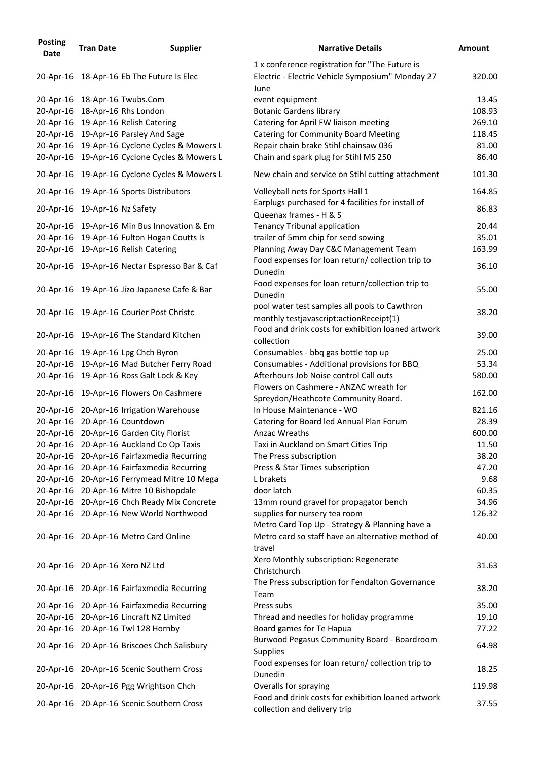| <b>Posting</b><br><b>Date</b> | <b>Tran Date</b>              | <b>Supplier</b>                               | <b>Narrative Details</b>                                                                                   | <b>Amount</b> |
|-------------------------------|-------------------------------|-----------------------------------------------|------------------------------------------------------------------------------------------------------------|---------------|
|                               |                               | 20-Apr-16 18-Apr-16 Eb The Future Is Elec     | 1 x conference registration for "The Future is<br>Electric - Electric Vehicle Symposium" Monday 27<br>June | 320.00        |
|                               |                               | 20-Apr-16 18-Apr-16 Twubs.Com                 | event equipment                                                                                            | 13.45         |
|                               |                               | 20-Apr-16 18-Apr-16 Rhs London                | <b>Botanic Gardens library</b>                                                                             | 108.93        |
|                               |                               | 20-Apr-16 19-Apr-16 Relish Catering           | Catering for April FW liaison meeting                                                                      | 269.10        |
|                               |                               | 20-Apr-16 19-Apr-16 Parsley And Sage          | <b>Catering for Community Board Meeting</b>                                                                | 118.45        |
|                               |                               | 20-Apr-16 19-Apr-16 Cyclone Cycles & Mowers L | Repair chain brake Stihl chainsaw 036                                                                      | 81.00         |
|                               |                               | 20-Apr-16 19-Apr-16 Cyclone Cycles & Mowers L | Chain and spark plug for Stihl MS 250                                                                      | 86.40         |
|                               |                               | 20-Apr-16 19-Apr-16 Cyclone Cycles & Mowers L | New chain and service on Stihl cutting attachment                                                          | 101.30        |
|                               |                               | 20-Apr-16 19-Apr-16 Sports Distributors       | Volleyball nets for Sports Hall 1                                                                          | 164.85        |
|                               | 20-Apr-16 19-Apr-16 Nz Safety |                                               | Earplugs purchased for 4 facilities for install of<br>Queenax frames - H & S                               | 86.83         |
|                               |                               | 20-Apr-16 19-Apr-16 Min Bus Innovation & Em   | <b>Tenancy Tribunal application</b>                                                                        | 20.44         |
|                               |                               | 20-Apr-16 19-Apr-16 Fulton Hogan Coutts Is    | trailer of 5mm chip for seed sowing                                                                        | 35.01         |
|                               |                               | 20-Apr-16 19-Apr-16 Relish Catering           | Planning Away Day C&C Management Team                                                                      | 163.99        |
|                               |                               |                                               | Food expenses for loan return/ collection trip to                                                          |               |
|                               |                               | 20-Apr-16 19-Apr-16 Nectar Espresso Bar & Caf | Dunedin                                                                                                    | 36.10         |
|                               |                               | 20-Apr-16 19-Apr-16 Jizo Japanese Cafe & Bar  | Food expenses for loan return/collection trip to<br>Dunedin                                                | 55.00         |
|                               |                               |                                               | pool water test samples all pools to Cawthron                                                              |               |
|                               |                               | 20-Apr-16 19-Apr-16 Courier Post Christc      | monthly testjavascript: action Receipt(1)                                                                  | 38.20         |
|                               |                               | 20-Apr-16 19-Apr-16 The Standard Kitchen      | Food and drink costs for exhibition loaned artwork<br>collection                                           | 39.00         |
|                               |                               | 20-Apr-16 19-Apr-16 Lpg Chch Byron            | Consumables - bbq gas bottle top up                                                                        | 25.00         |
|                               |                               | 20-Apr-16 19-Apr-16 Mad Butcher Ferry Road    | Consumables - Additional provisions for BBQ                                                                | 53.34         |
|                               |                               | 20-Apr-16 19-Apr-16 Ross Galt Lock & Key      | Afterhours Job Noise control Call outs                                                                     | 580.00        |
|                               |                               | 20-Apr-16 19-Apr-16 Flowers On Cashmere       | Flowers on Cashmere - ANZAC wreath for<br>Spreydon/Heathcote Community Board.                              | 162.00        |
|                               |                               | 20-Apr-16 20-Apr-16 Irrigation Warehouse      | In House Maintenance - WO                                                                                  | 821.16        |
|                               |                               | 20-Apr-16 20-Apr-16 Countdown                 | Catering for Board led Annual Plan Forum                                                                   | 28.39         |
|                               |                               | 20-Apr-16 20-Apr-16 Garden City Florist       | <b>Anzac Wreaths</b>                                                                                       | 600.00        |
|                               |                               | 20-Apr-16 20-Apr-16 Auckland Co Op Taxis      | Taxi in Auckland on Smart Cities Trip                                                                      | 11.50         |
|                               |                               | 20-Apr-16 20-Apr-16 Fairfaxmedia Recurring    | The Press subscription                                                                                     | 38.20         |
|                               |                               | 20-Apr-16 20-Apr-16 Fairfaxmedia Recurring    |                                                                                                            | 47.20         |
|                               |                               |                                               | Press & Star Times subscription                                                                            |               |
|                               |                               | 20-Apr-16 20-Apr-16 Ferrymead Mitre 10 Mega   | L brakets                                                                                                  | 9.68          |
|                               |                               | 20-Apr-16 20-Apr-16 Mitre 10 Bishopdale       | door latch                                                                                                 | 60.35         |
|                               |                               | 20-Apr-16 20-Apr-16 Chch Ready Mix Concrete   | 13mm round gravel for propagator bench                                                                     | 34.96         |
|                               |                               | 20-Apr-16 20-Apr-16 New World Northwood       | supplies for nursery tea room<br>Metro Card Top Up - Strategy & Planning have a                            | 126.32        |
|                               |                               | 20-Apr-16 20-Apr-16 Metro Card Online         | Metro card so staff have an alternative method of<br>travel                                                | 40.00         |
|                               |                               | 20-Apr-16 20-Apr-16 Xero NZ Ltd               | Xero Monthly subscription: Regenerate<br>Christchurch                                                      | 31.63         |
|                               |                               | 20-Apr-16 20-Apr-16 Fairfaxmedia Recurring    | The Press subscription for Fendalton Governance<br>Team                                                    | 38.20         |
|                               |                               | 20-Apr-16 20-Apr-16 Fairfaxmedia Recurring    | Press subs                                                                                                 | 35.00         |
|                               |                               | 20-Apr-16 20-Apr-16 Lincraft NZ Limited       | Thread and needles for holiday programme                                                                   | 19.10         |
|                               |                               | 20-Apr-16 20-Apr-16 Twl 128 Hornby            | Board games for Te Hapua                                                                                   | 77.22         |
|                               |                               | 20-Apr-16 20-Apr-16 Briscoes Chch Salisbury   | Burwood Pegasus Community Board - Boardroom<br><b>Supplies</b>                                             | 64.98         |
|                               |                               | 20-Apr-16 20-Apr-16 Scenic Southern Cross     | Food expenses for loan return/ collection trip to<br>Dunedin                                               | 18.25         |
|                               |                               | 20-Apr-16 20-Apr-16 Pgg Wrightson Chch        | Overalls for spraying                                                                                      | 119.98        |
|                               |                               | 20-Apr-16 20-Apr-16 Scenic Southern Cross     | Food and drink costs for exhibition loaned artwork<br>collection and delivery trip                         | 37.55         |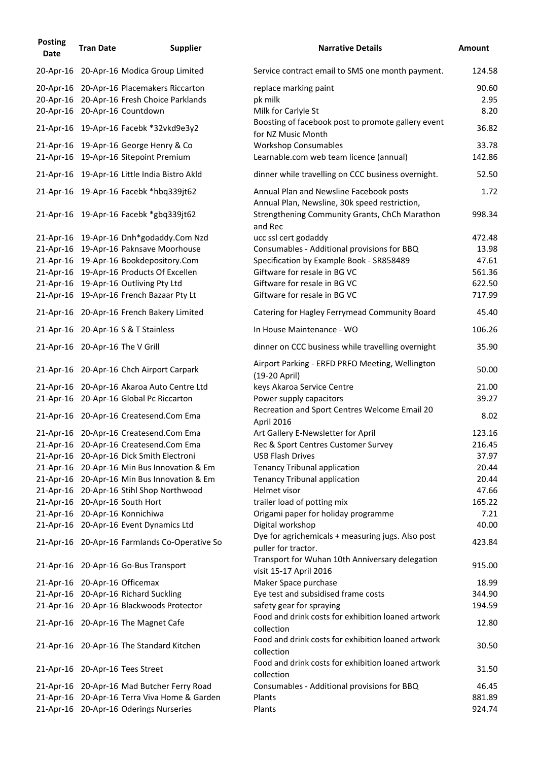| <b>Posting</b><br><b>Date</b> | <b>Tran Date</b>                | <b>Supplier</b>                               | <b>Narrative Details</b>                                                                 | <b>Amount</b> |
|-------------------------------|---------------------------------|-----------------------------------------------|------------------------------------------------------------------------------------------|---------------|
|                               |                                 | 20-Apr-16 20-Apr-16 Modica Group Limited      | Service contract email to SMS one month payment.                                         | 124.58        |
|                               |                                 | 20-Apr-16 20-Apr-16 Placemakers Riccarton     | replace marking paint                                                                    | 90.60         |
|                               |                                 | 20-Apr-16 20-Apr-16 Fresh Choice Parklands    | pk milk                                                                                  | 2.95          |
|                               |                                 | 20-Apr-16 20-Apr-16 Countdown                 | Milk for Carlyle St                                                                      | 8.20          |
|                               |                                 | 21-Apr-16 19-Apr-16 Facebk *32vkd9e3y2        | Boosting of facebook post to promote gallery event<br>for NZ Music Month                 | 36.82         |
|                               |                                 | 21-Apr-16 19-Apr-16 George Henry & Co         | <b>Workshop Consumables</b>                                                              | 33.78         |
|                               |                                 | 21-Apr-16 19-Apr-16 Sitepoint Premium         | Learnable.com web team licence (annual)                                                  | 142.86        |
|                               |                                 | 21-Apr-16 19-Apr-16 Little India Bistro Akld  | dinner while travelling on CCC business overnight.                                       | 52.50         |
|                               |                                 | 21-Apr-16 19-Apr-16 Facebk *hbq339jt62        | Annual Plan and Newsline Facebook posts<br>Annual Plan, Newsline, 30k speed restriction, | 1.72          |
|                               |                                 | 21-Apr-16 19-Apr-16 Facebk *gbq339jt62        | Strengthening Community Grants, ChCh Marathon<br>and Rec                                 | 998.34        |
|                               |                                 | 21-Apr-16 19-Apr-16 Dnh*godaddy.Com Nzd       | ucc ssl cert godaddy                                                                     | 472.48        |
|                               |                                 | 21-Apr-16 19-Apr-16 Paknsave Moorhouse        | Consumables - Additional provisions for BBQ                                              | 13.98         |
|                               |                                 | 21-Apr-16 19-Apr-16 Bookdepository.Com        | Specification by Example Book - SR858489                                                 | 47.61         |
|                               |                                 | 21-Apr-16 19-Apr-16 Products Of Excellen      | Giftware for resale in BG VC                                                             | 561.36        |
|                               |                                 | 21-Apr-16 19-Apr-16 Outliving Pty Ltd         | Giftware for resale in BG VC                                                             | 622.50        |
|                               |                                 | 21-Apr-16 19-Apr-16 French Bazaar Pty Lt      | Giftware for resale in BG VC                                                             | 717.99        |
|                               |                                 | 21-Apr-16 20-Apr-16 French Bakery Limited     | Catering for Hagley Ferrymead Community Board                                            | 45.40         |
|                               |                                 | 21-Apr-16 20-Apr-16 S & T Stainless           | In House Maintenance - WO                                                                | 106.26        |
|                               | 21-Apr-16 20-Apr-16 The V Grill |                                               | dinner on CCC business while travelling overnight                                        | 35.90         |
|                               |                                 | 21-Apr-16 20-Apr-16 Chch Airport Carpark      | Airport Parking - ERFD PRFO Meeting, Wellington<br>(19-20 April)                         | 50.00         |
|                               |                                 | 21-Apr-16 20-Apr-16 Akaroa Auto Centre Ltd    | keys Akaroa Service Centre                                                               | 21.00         |
|                               |                                 | 21-Apr-16 20-Apr-16 Global Pc Riccarton       | Power supply capacitors                                                                  | 39.27         |
|                               |                                 | 21-Apr-16 20-Apr-16 Createsend.Com Ema        | Recreation and Sport Centres Welcome Email 20<br>April 2016                              | 8.02          |
|                               |                                 | 21-Apr-16 20-Apr-16 Createsend.Com Ema        | Art Gallery E-Newsletter for April                                                       | 123.16        |
|                               |                                 | 21-Apr-16 20-Apr-16 Createsend.Com Ema        | Rec & Sport Centres Customer Survey                                                      | 216.45        |
|                               |                                 | 21-Apr-16 20-Apr-16 Dick Smith Electroni      | <b>USB Flash Drives</b>                                                                  | 37.97         |
|                               |                                 | 21-Apr-16 20-Apr-16 Min Bus Innovation & Em   | <b>Tenancy Tribunal application</b>                                                      | 20.44         |
|                               |                                 | 21-Apr-16 20-Apr-16 Min Bus Innovation & Em   | <b>Tenancy Tribunal application</b>                                                      | 20.44         |
|                               |                                 | 21-Apr-16 20-Apr-16 Stihl Shop Northwood      | Helmet visor                                                                             | 47.66         |
|                               |                                 | 21-Apr-16 20-Apr-16 South Hort                | trailer load of potting mix                                                              | 165.22        |
|                               |                                 | 21-Apr-16 20-Apr-16 Konnichiwa                | Origami paper for holiday programme                                                      | 7.21          |
|                               |                                 | 21-Apr-16 20-Apr-16 Event Dynamics Ltd        | Digital workshop                                                                         | 40.00         |
|                               |                                 | 21-Apr-16 20-Apr-16 Farmlands Co-Operative So | Dye for agrichemicals + measuring jugs. Also post<br>puller for tractor.                 | 423.84        |
|                               |                                 | 21-Apr-16 20-Apr-16 Go-Bus Transport          | Transport for Wuhan 10th Anniversary delegation<br>visit 15-17 April 2016                | 915.00        |
|                               | 21-Apr-16 20-Apr-16 Officemax   |                                               | Maker Space purchase                                                                     | 18.99         |
|                               |                                 | 21-Apr-16 20-Apr-16 Richard Suckling          | Eye test and subsidised frame costs                                                      | 344.90        |
|                               |                                 | 21-Apr-16 20-Apr-16 Blackwoods Protector      | safety gear for spraying                                                                 | 194.59        |
|                               |                                 | 21-Apr-16 20-Apr-16 The Magnet Cafe           | Food and drink costs for exhibition loaned artwork<br>collection                         | 12.80         |
|                               |                                 | 21-Apr-16 20-Apr-16 The Standard Kitchen      | Food and drink costs for exhibition loaned artwork<br>collection                         | 30.50         |
|                               |                                 | 21-Apr-16 20-Apr-16 Tees Street               | Food and drink costs for exhibition loaned artwork<br>collection                         | 31.50         |
|                               |                                 | 21-Apr-16 20-Apr-16 Mad Butcher Ferry Road    | Consumables - Additional provisions for BBQ                                              | 46.45         |
|                               |                                 | 21-Apr-16 20-Apr-16 Terra Viva Home & Garden  | Plants                                                                                   | 881.89        |
|                               |                                 | 21-Apr-16 20-Apr-16 Oderings Nurseries        | Plants                                                                                   | 924.74        |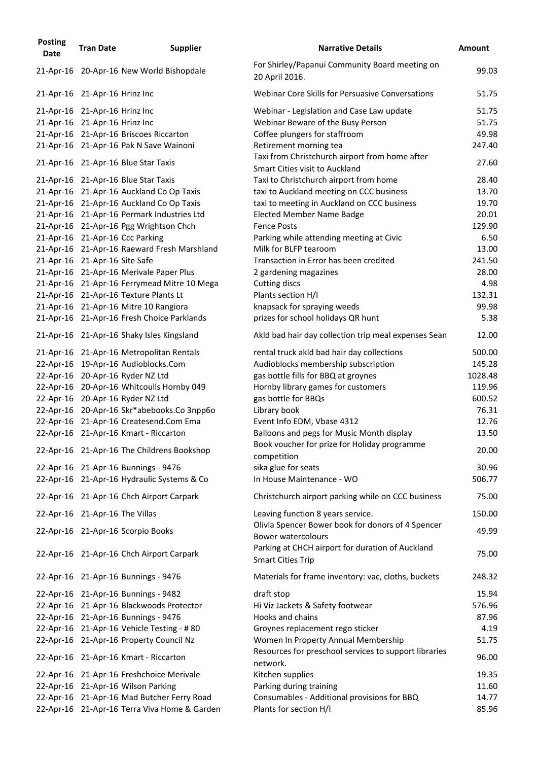| <b>Posting</b><br><b>Date</b>  | <b>Tran Date</b> | <b>Supplier</b>                              | <b>Narrative Details</b>                                                                | <b>Amount</b> |
|--------------------------------|------------------|----------------------------------------------|-----------------------------------------------------------------------------------------|---------------|
|                                |                  | 21-Apr-16 20-Apr-16 New World Bishopdale     | For Shirley/Papanui Community Board meeting on<br>20 April 2016.                        | 99.03         |
| 21-Apr-16 21-Apr-16 Hrinz Inc  |                  |                                              | Webinar Core Skills for Persuasive Conversations                                        | 51.75         |
| 21-Apr-16 21-Apr-16 Hrinz Inc  |                  |                                              | Webinar - Legislation and Case Law update                                               | 51.75         |
| 21-Apr-16 21-Apr-16 Hrinz Inc  |                  |                                              | Webinar Beware of the Busy Person                                                       | 51.75         |
|                                |                  | 21-Apr-16 21-Apr-16 Briscoes Riccarton       | Coffee plungers for staffroom                                                           | 49.98         |
|                                |                  | 21-Apr-16 21-Apr-16 Pak N Save Wainoni       | Retirement morning tea                                                                  | 247.40        |
|                                |                  | 21-Apr-16 21-Apr-16 Blue Star Taxis          | Taxi from Christchurch airport from home after<br><b>Smart Cities visit to Auckland</b> | 27.60         |
|                                |                  | 21-Apr-16 21-Apr-16 Blue Star Taxis          | Taxi to Christchurch airport from home                                                  | 28.40         |
|                                |                  | 21-Apr-16 21-Apr-16 Auckland Co Op Taxis     | taxi to Auckland meeting on CCC business                                                | 13.70         |
|                                |                  | 21-Apr-16 21-Apr-16 Auckland Co Op Taxis     | taxi to meeting in Auckland on CCC business                                             | 19.70         |
|                                |                  | 21-Apr-16 21-Apr-16 Permark Industries Ltd   | <b>Elected Member Name Badge</b>                                                        | 20.01         |
|                                |                  | 21-Apr-16 21-Apr-16 Pgg Wrightson Chch       | <b>Fence Posts</b>                                                                      | 129.90        |
|                                |                  | 21-Apr-16 21-Apr-16 Ccc Parking              | Parking while attending meeting at Civic                                                | 6.50          |
|                                |                  | 21-Apr-16 21-Apr-16 Raeward Fresh Marshland  | Milk for BLFP tearoom                                                                   | 13.00         |
| 21-Apr-16 21-Apr-16 Site Safe  |                  |                                              | Transaction in Error has been credited                                                  | 241.50        |
|                                |                  | 21-Apr-16 21-Apr-16 Merivale Paper Plus      | 2 gardening magazines                                                                   | 28.00         |
|                                |                  | 21-Apr-16 21-Apr-16 Ferrymead Mitre 10 Mega  | Cutting discs                                                                           | 4.98          |
|                                |                  | 21-Apr-16 21-Apr-16 Texture Plants Lt        | Plants section H/I                                                                      | 132.31        |
|                                |                  | 21-Apr-16 21-Apr-16 Mitre 10 Rangiora        | knapsack for spraying weeds                                                             | 99.98         |
|                                |                  | 21-Apr-16 21-Apr-16 Fresh Choice Parklands   | prizes for school holidays QR hunt                                                      | 5.38          |
|                                |                  | 21-Apr-16 21-Apr-16 Shaky Isles Kingsland    | Akld bad hair day collection trip meal expenses Sean                                    | 12.00         |
|                                |                  | 21-Apr-16 21-Apr-16 Metropolitan Rentals     | rental truck akld bad hair day collections                                              | 500.00        |
|                                |                  | 22-Apr-16 19-Apr-16 Audioblocks.Com          | Audioblocks membership subscription                                                     | 145.28        |
|                                |                  | 22-Apr-16 20-Apr-16 Ryder NZ Ltd             | gas bottle fills for BBQ at groynes                                                     | 1028.48       |
|                                |                  | 22-Apr-16 20-Apr-16 Whitcoulls Hornby 049    | Hornby library games for customers                                                      | 119.96        |
|                                |                  | 22-Apr-16 20-Apr-16 Ryder NZ Ltd             | gas bottle for BBQs                                                                     | 600.52        |
|                                |                  | 22-Apr-16 20-Apr-16 Skr*abebooks.Co 3npp6o   | Library book                                                                            | 76.31         |
|                                |                  | 22-Apr-16 21-Apr-16 Createsend.Com Ema       | Event Info EDM, Vbase 4312                                                              | 12.76         |
|                                |                  | 22-Apr-16 21-Apr-16 Kmart - Riccarton        | Balloons and pegs for Music Month display                                               | 13.50         |
|                                |                  | 22-Apr-16 21-Apr-16 The Childrens Bookshop   | Book voucher for prize for Holiday programme<br>competition                             | 20.00         |
|                                |                  | 22-Apr-16 21-Apr-16 Bunnings - 9476          | sika glue for seats                                                                     | 30.96         |
|                                |                  | 22-Apr-16 21-Apr-16 Hydraulic Systems & Co   | In House Maintenance - WO                                                               | 506.77        |
|                                |                  | 22-Apr-16 21-Apr-16 Chch Airport Carpark     | Christchurch airport parking while on CCC business                                      | 75.00         |
| 22-Apr-16 21-Apr-16 The Villas |                  |                                              | Leaving function 8 years service.<br>Olivia Spencer Bower book for donors of 4 Spencer  | 150.00        |
|                                |                  | 22-Apr-16 21-Apr-16 Scorpio Books            | <b>Bower watercolours</b><br>Parking at CHCH airport for duration of Auckland           | 49.99         |
|                                |                  | 22-Apr-16 21-Apr-16 Chch Airport Carpark     | <b>Smart Cities Trip</b>                                                                | 75.00         |
|                                |                  | 22-Apr-16 21-Apr-16 Bunnings - 9476          | Materials for frame inventory: vac, cloths, buckets                                     | 248.32        |
|                                |                  | 22-Apr-16 21-Apr-16 Bunnings - 9482          | draft stop                                                                              | 15.94         |
|                                |                  | 22-Apr-16 21-Apr-16 Blackwoods Protector     | Hi Viz Jackets & Safety footwear                                                        | 576.96        |
|                                |                  | 22-Apr-16 21-Apr-16 Bunnings - 9476          | Hooks and chains                                                                        | 87.96         |
|                                |                  | 22-Apr-16 21-Apr-16 Vehicle Testing - #80    | Groynes replacement rego sticker                                                        | 4.19          |
|                                |                  | 22-Apr-16 21-Apr-16 Property Council Nz      | Women In Property Annual Membership                                                     | 51.75         |
|                                |                  | 22-Apr-16 21-Apr-16 Kmart - Riccarton        | Resources for preschool services to support libraries<br>network.                       | 96.00         |
|                                |                  | 22-Apr-16 21-Apr-16 Freshchoice Merivale     | Kitchen supplies                                                                        | 19.35         |
|                                |                  | 22-Apr-16 21-Apr-16 Wilson Parking           | Parking during training                                                                 | 11.60         |
|                                |                  | 22-Apr-16 21-Apr-16 Mad Butcher Ferry Road   | Consumables - Additional provisions for BBQ                                             | 14.77         |
|                                |                  | 22-Apr-16 21-Apr-16 Terra Viva Home & Garden | Plants for section H/I                                                                  | 85.96         |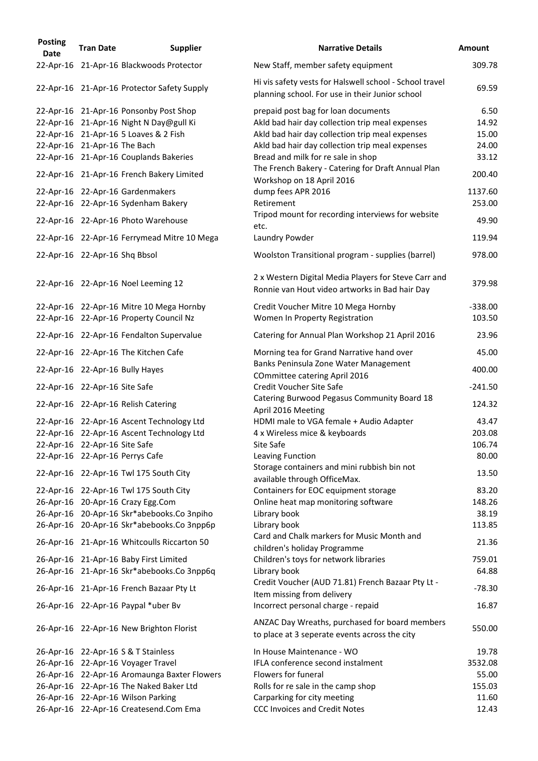| <b>Posting</b><br><b>Date</b> | <b>Tran Date</b>              | <b>Supplier</b>                                                                           | <b>Narrative Details</b>                                                                                   | <b>Amount</b>   |
|-------------------------------|-------------------------------|-------------------------------------------------------------------------------------------|------------------------------------------------------------------------------------------------------------|-----------------|
|                               |                               | 22-Apr-16 21-Apr-16 Blackwoods Protector                                                  | New Staff, member safety equipment                                                                         | 309.78          |
|                               |                               | 22-Apr-16 21-Apr-16 Protector Safety Supply                                               | Hi vis safety vests for Halswell school - School travel<br>planning school. For use in their Junior school | 69.59           |
|                               |                               | 22-Apr-16 21-Apr-16 Ponsonby Post Shop                                                    | prepaid post bag for loan documents                                                                        | 6.50            |
|                               |                               | 22-Apr-16 21-Apr-16 Night N Day@gull Ki                                                   | Akld bad hair day collection trip meal expenses                                                            | 14.92           |
|                               |                               | 22-Apr-16 21-Apr-16 5 Loaves & 2 Fish                                                     | Akld bad hair day collection trip meal expenses                                                            | 15.00           |
|                               | 22-Apr-16 21-Apr-16 The Bach  |                                                                                           | Akld bad hair day collection trip meal expenses                                                            | 24.00           |
|                               |                               | 22-Apr-16 21-Apr-16 Couplands Bakeries                                                    | Bread and milk for re sale in shop                                                                         | 33.12           |
|                               |                               | 22-Apr-16 21-Apr-16 French Bakery Limited                                                 | The French Bakery - Catering for Draft Annual Plan<br>Workshop on 18 April 2016                            | 200.40          |
|                               |                               | 22-Apr-16 22-Apr-16 Gardenmakers                                                          | dump fees APR 2016                                                                                         | 1137.60         |
|                               |                               | 22-Apr-16 22-Apr-16 Sydenham Bakery                                                       | Retirement                                                                                                 | 253.00          |
|                               |                               |                                                                                           | Tripod mount for recording interviews for website                                                          |                 |
|                               |                               | 22-Apr-16 22-Apr-16 Photo Warehouse                                                       | etc.                                                                                                       | 49.90           |
|                               |                               | 22-Apr-16 22-Apr-16 Ferrymead Mitre 10 Mega                                               | Laundry Powder                                                                                             | 119.94          |
|                               | 22-Apr-16 22-Apr-16 Shq Bbsol |                                                                                           | Woolston Transitional program - supplies (barrel)                                                          | 978.00          |
|                               |                               | 22-Apr-16 22-Apr-16 Noel Leeming 12                                                       | 2 x Western Digital Media Players for Steve Carr and<br>Ronnie van Hout video artworks in Bad hair Day     | 379.98          |
|                               |                               | 22-Apr-16 22-Apr-16 Mitre 10 Mega Hornby                                                  | Credit Voucher Mitre 10 Mega Hornby                                                                        | $-338.00$       |
|                               |                               | 22-Apr-16 22-Apr-16 Property Council Nz                                                   | Women In Property Registration                                                                             | 103.50          |
|                               |                               | 22-Apr-16 22-Apr-16 Fendalton Supervalue                                                  | Catering for Annual Plan Workshop 21 April 2016                                                            | 23.96           |
|                               |                               | 22-Apr-16 22-Apr-16 The Kitchen Cafe                                                      | Morning tea for Grand Narrative hand over                                                                  | 45.00           |
|                               |                               |                                                                                           | Banks Peninsula Zone Water Management                                                                      | 400.00          |
|                               |                               | 22-Apr-16 22-Apr-16 Bully Hayes                                                           | <b>COmmittee catering April 2016</b>                                                                       |                 |
|                               | 22-Apr-16 22-Apr-16 Site Safe |                                                                                           | <b>Credit Voucher Site Safe</b>                                                                            | $-241.50$       |
|                               |                               | 22-Apr-16 22-Apr-16 Relish Catering                                                       | Catering Burwood Pegasus Community Board 18<br>April 2016 Meeting                                          | 124.32          |
|                               |                               | 22-Apr-16 22-Apr-16 Ascent Technology Ltd                                                 | HDMI male to VGA female + Audio Adapter                                                                    | 43.47           |
|                               |                               | 22-Apr-16 22-Apr-16 Ascent Technology Ltd                                                 | 4 x Wireless mice & keyboards                                                                              | 203.08          |
|                               | 22-Apr-16 22-Apr-16 Site Safe |                                                                                           | Site Safe                                                                                                  | 106.74          |
|                               |                               | 22-Apr-16 22-Apr-16 Perrys Cafe                                                           | Leaving Function                                                                                           | 80.00           |
|                               |                               | 22-Apr-16 22-Apr-16 Twl 175 South City                                                    | Storage containers and mini rubbish bin not<br>available through OfficeMax.                                | 13.50           |
|                               |                               | 22-Apr-16 22-Apr-16 Twl 175 South City                                                    | Containers for EOC equipment storage                                                                       | 83.20           |
|                               |                               | 26-Apr-16 20-Apr-16 Crazy Egg.Com                                                         | Online heat map monitoring software                                                                        | 148.26          |
|                               |                               |                                                                                           |                                                                                                            | 38.19           |
|                               |                               | 26-Apr-16 20-Apr-16 Skr*abebooks.Co 3npiho                                                | Library book                                                                                               |                 |
|                               |                               | 26-Apr-16 20-Apr-16 Skr*abebooks.Co 3npp6p<br>26-Apr-16 21-Apr-16 Whitcoulls Riccarton 50 | Library book<br>Card and Chalk markers for Music Month and                                                 | 113.85<br>21.36 |
|                               |                               |                                                                                           | children's holiday Programme                                                                               |                 |
|                               |                               | 26-Apr-16 21-Apr-16 Baby First Limited                                                    | Children's toys for network libraries                                                                      | 759.01          |
|                               |                               | 26-Apr-16 21-Apr-16 Skr*abebooks.Co 3npp6q                                                | Library book                                                                                               | 64.88           |
|                               |                               | 26-Apr-16 21-Apr-16 French Bazaar Pty Lt                                                  | Credit Voucher (AUD 71.81) French Bazaar Pty Lt -<br>Item missing from delivery                            | $-78.30$        |
|                               |                               | 26-Apr-16 22-Apr-16 Paypal *uber Bv                                                       | Incorrect personal charge - repaid                                                                         | 16.87           |
|                               |                               | 26-Apr-16 22-Apr-16 New Brighton Florist                                                  | ANZAC Day Wreaths, purchased for board members<br>to place at 3 seperate events across the city            | 550.00          |
|                               |                               | 26-Apr-16 22-Apr-16 S & T Stainless                                                       | In House Maintenance - WO                                                                                  | 19.78           |
|                               |                               | 26-Apr-16 22-Apr-16 Voyager Travel                                                        | IFLA conference second instalment                                                                          | 3532.08         |
|                               |                               | 26-Apr-16 22-Apr-16 Aromaunga Baxter Flowers                                              | Flowers for funeral                                                                                        | 55.00           |
|                               |                               | 26-Apr-16 22-Apr-16 The Naked Baker Ltd                                                   | Rolls for re sale in the camp shop                                                                         | 155.03          |
|                               |                               | 26-Apr-16 22-Apr-16 Wilson Parking                                                        | Carparking for city meeting                                                                                | 11.60           |
|                               |                               | 26-Apr-16 22-Apr-16 Createsend.Com Ema                                                    | <b>CCC Invoices and Credit Notes</b>                                                                       | 12.43           |